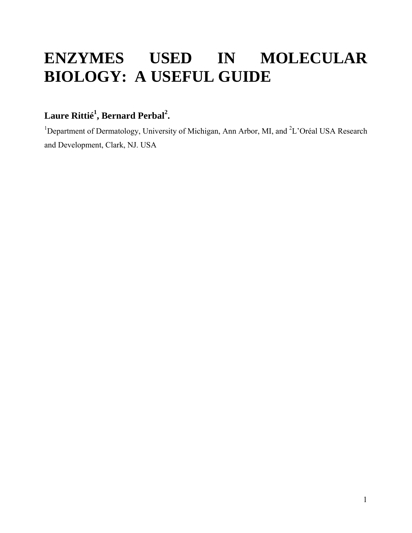# **ENZYMES USED IN MOLECULAR BIOLOGY: A USEFUL GUIDE**

# $\bf{L}$ aure  $\bf{R}$ ittié $^1$ ,  $\bf{Bernard \ Perbal}^2$ .

<sup>1</sup>Department of Dermatology, University of Michigan, Ann Arbor, MI, and <sup>2</sup>L'Oréal USA Research and Development, Clark, NJ. USA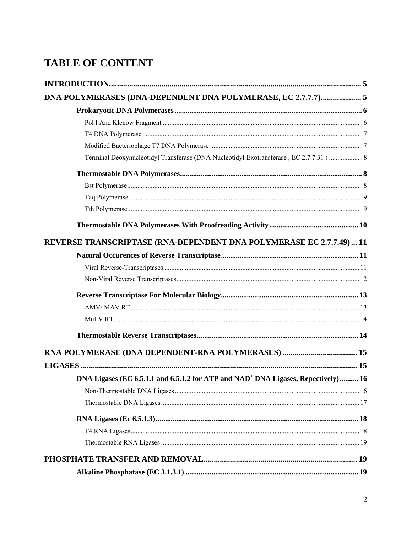# **TABLE OF CONTENT**

| DNA POLYMERASES (DNA-DEPENDENT DNA POLYMERASE, EC 2.7.7.7) 5                                   |  |
|------------------------------------------------------------------------------------------------|--|
|                                                                                                |  |
|                                                                                                |  |
|                                                                                                |  |
|                                                                                                |  |
| Terminal Deoxynucleotidyl Transferase (DNA Nucleotidyl-Exotransferase, EC 2.7.7.31) 8          |  |
|                                                                                                |  |
|                                                                                                |  |
|                                                                                                |  |
|                                                                                                |  |
|                                                                                                |  |
| REVERSE TRANSCRIPTASE (RNA-DEPENDENT DNA POLYMERASE EC 2.7.7.49)  11                           |  |
|                                                                                                |  |
|                                                                                                |  |
|                                                                                                |  |
|                                                                                                |  |
|                                                                                                |  |
|                                                                                                |  |
|                                                                                                |  |
|                                                                                                |  |
|                                                                                                |  |
| DNA Ligases (EC 6.5.1.1 and 6.5.1.2 for ATP and NAD <sup>+</sup> DNA Ligases, Repectively)  16 |  |
|                                                                                                |  |
|                                                                                                |  |
|                                                                                                |  |
|                                                                                                |  |
|                                                                                                |  |
|                                                                                                |  |
|                                                                                                |  |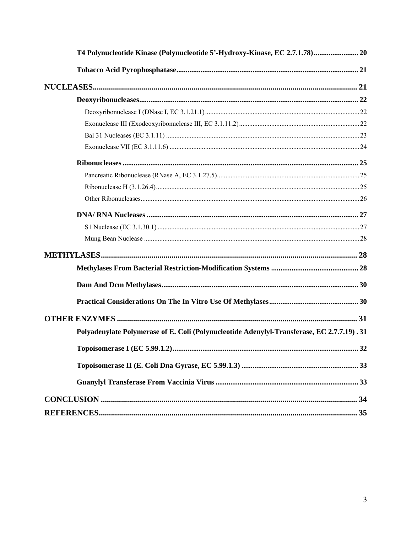| T4 Polynucleotide Kinase (Polynucleotide 5'-Hydroxy-Kinase, EC 2.7.1.78) 20               |    |
|-------------------------------------------------------------------------------------------|----|
|                                                                                           |    |
|                                                                                           |    |
|                                                                                           |    |
|                                                                                           |    |
|                                                                                           |    |
|                                                                                           |    |
|                                                                                           |    |
|                                                                                           |    |
|                                                                                           |    |
|                                                                                           |    |
|                                                                                           |    |
|                                                                                           |    |
|                                                                                           |    |
|                                                                                           |    |
|                                                                                           |    |
|                                                                                           |    |
|                                                                                           |    |
|                                                                                           |    |
|                                                                                           |    |
| Polyadenylate Polymerase of E. Coli (Polynucleotide Adenylyl-Transferase, EC 2.7.7.19).31 |    |
| Topoisomerase I (EC 5.99.1.2)                                                             | 32 |
|                                                                                           |    |
|                                                                                           |    |
|                                                                                           |    |
|                                                                                           |    |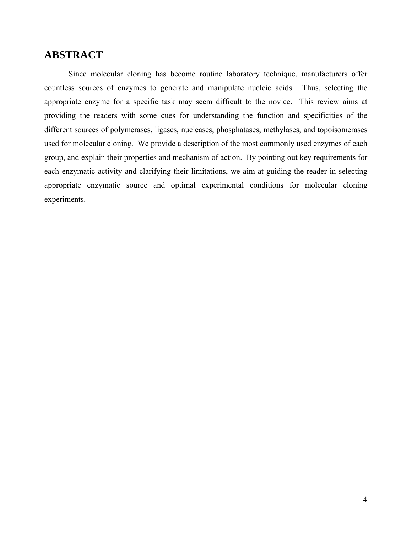# **ABSTRACT**

Since molecular cloning has become routine laboratory technique, manufacturers offer countless sources of enzymes to generate and manipulate nucleic acids. Thus, selecting the appropriate enzyme for a specific task may seem difficult to the novice. This review aims at providing the readers with some cues for understanding the function and specificities of the different sources of polymerases, ligases, nucleases, phosphatases, methylases, and topoisomerases used for molecular cloning. We provide a description of the most commonly used enzymes of each group, and explain their properties and mechanism of action. By pointing out key requirements for each enzymatic activity and clarifying their limitations, we aim at guiding the reader in selecting appropriate enzymatic source and optimal experimental conditions for molecular cloning experiments.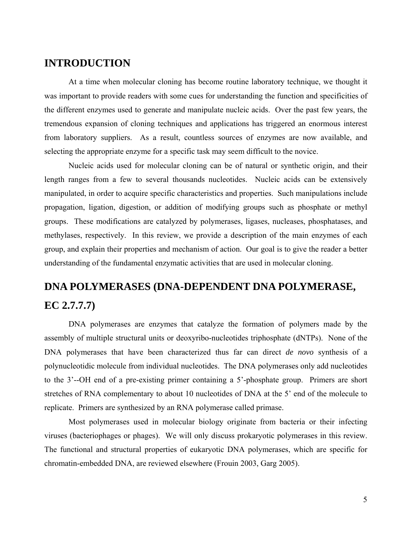# **INTRODUCTION**

At a time when molecular cloning has become routine laboratory technique, we thought it was important to provide readers with some cues for understanding the function and specificities of the different enzymes used to generate and manipulate nucleic acids. Over the past few years, the tremendous expansion of cloning techniques and applications has triggered an enormous interest from laboratory suppliers. As a result, countless sources of enzymes are now available, and selecting the appropriate enzyme for a specific task may seem difficult to the novice.

Nucleic acids used for molecular cloning can be of natural or synthetic origin, and their length ranges from a few to several thousands nucleotides. Nucleic acids can be extensively manipulated, in order to acquire specific characteristics and properties. Such manipulations include propagation, ligation, digestion, or addition of modifying groups such as phosphate or methyl groups. These modifications are catalyzed by polymerases, ligases, nucleases, phosphatases, and methylases, respectively. In this review, we provide a description of the main enzymes of each group, and explain their properties and mechanism of action. Our goal is to give the reader a better understanding of the fundamental enzymatic activities that are used in molecular cloning.

# **DNA POLYMERASES (DNA-DEPENDENT DNA POLYMERASE, EC 2.7.7.7)**

DNA polymerases are enzymes that catalyze the formation of polymers made by the assembly of multiple structural units or deoxyribo-nucleotides triphosphate (dNTPs). None of the DNA polymerases that have been characterized thus far can direct *de novo* synthesis of a polynucleotidic molecule from individual nucleotides. The DNA polymerases only add nucleotides to the 3'--OH end of a pre-existing primer containing a 5'-phosphate group. Primers are short stretches of RNA complementary to about 10 nucleotides of DNA at the 5' end of the molecule to replicate. Primers are synthesized by an RNA polymerase called primase.

Most polymerases used in molecular biology originate from bacteria or their infecting viruses (bacteriophages or phages). We will only discuss prokaryotic polymerases in this review. The functional and structural properties of eukaryotic DNA polymerases, which are specific for chromatin-embedded DNA, are reviewed elsewhere (Frouin 2003, Garg 2005).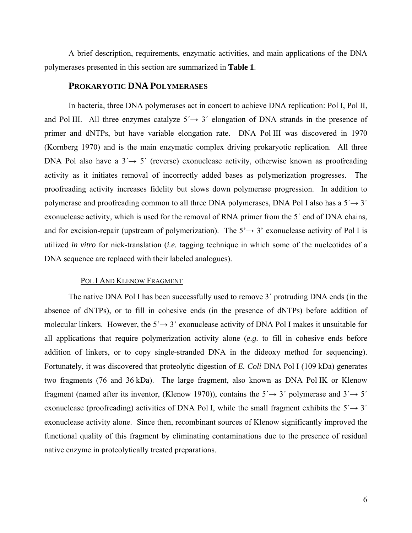A brief description, requirements, enzymatic activities, and main applications of the DNA polymerases presented in this section are summarized in **Table 1**.

### **PROKARYOTIC DNA POLYMERASES**

In bacteria, three DNA polymerases act in concert to achieve DNA replication: Pol I, Pol II, and Pol III. All three enzymes catalyze  $5' \rightarrow 3'$  elongation of DNA strands in the presence of primer and dNTPs, but have variable elongation rate. DNA Pol III was discovered in 1970 (Kornberg 1970) and is the main enzymatic complex driving prokaryotic replication. All three DNA Pol also have a  $3' \rightarrow 5'$  (reverse) exonuclease activity, otherwise known as proofreading activity as it initiates removal of incorrectly added bases as polymerization progresses. The proofreading activity increases fidelity but slows down polymerase progression. In addition to polymerase and proofreading common to all three DNA polymerases, DNA Pol I also has a  $5' \rightarrow 3'$ exonuclease activity, which is used for the removal of RNA primer from the 5´ end of DNA chains, and for excision-repair (upstream of polymerization). The  $5' \rightarrow 3'$  exonuclease activity of Pol I is utilized *in vitro* for nick-translation (*i.e.* tagging technique in which some of the nucleotides of a DNA sequence are replaced with their labeled analogues).

#### POL I AND KLENOW FRAGMENT

The native DNA Pol I has been successfully used to remove 3´ protruding DNA ends (in the absence of dNTPs), or to fill in cohesive ends (in the presence of dNTPs) before addition of molecular linkers. However, the  $5' \rightarrow 3'$  exonuclease activity of DNA Pol I makes it unsuitable for all applications that require polymerization activity alone (*e.g.* to fill in cohesive ends before addition of linkers, or to copy single-stranded DNA in the dideoxy method for sequencing). Fortunately, it was discovered that proteolytic digestion of *E. Coli* DNA Pol I (109 kDa) generates two fragments (76 and 36 kDa). The large fragment, also known as DNA Pol IK or Klenow fragment (named after its inventor, (Klenow 1970)), contains the  $5' \rightarrow 3'$  polymerase and  $3' \rightarrow 5'$ exonuclease (proofreading) activities of DNA Pol I, while the small fragment exhibits the  $5' \rightarrow 3'$ exonuclease activity alone. Since then, recombinant sources of Klenow significantly improved the functional quality of this fragment by eliminating contaminations due to the presence of residual native enzyme in proteolytically treated preparations.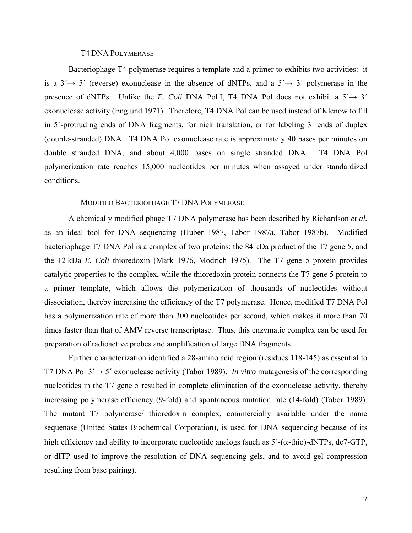#### T4 DNA POLYMERASE

Bacteriophage T4 polymerase requires a template and a primer to exhibits two activities: it is a  $3' \rightarrow 5'$  (reverse) exonuclease in the absence of dNTPs, and a  $5' \rightarrow 3'$  polymerase in the presence of dNTPs. Unlike the *E. Coli* DNA Pol I, T4 DNA Pol does not exhibit a  $5' \rightarrow 3'$ exonuclease activity (Englund 1971). Therefore, T4 DNA Pol can be used instead of Klenow to fill in 5´-protruding ends of DNA fragments, for nick translation, or for labeling 3´ ends of duplex (double-stranded) DNA. T4 DNA Pol exonuclease rate is approximately 40 bases per minutes on double stranded DNA, and about 4,000 bases on single stranded DNA. T4 DNA Pol polymerization rate reaches 15,000 nucleotides per minutes when assayed under standardized conditions.

#### MODIFIED BACTERIOPHAGE T7 DNA POLYMERASE

A chemically modified phage T7 DNA polymerase has been described by Richardson *et al.* as an ideal tool for DNA sequencing (Huber 1987, Tabor 1987a, Tabor 1987b). Modified bacteriophage T7 DNA Pol is a complex of two proteins: the 84 kDa product of the T7 gene 5, and the 12 kDa *E. Coli* thioredoxin (Mark 1976, Modrich 1975). The T7 gene 5 protein provides catalytic properties to the complex, while the thioredoxin protein connects the T7 gene 5 protein to a primer template, which allows the polymerization of thousands of nucleotides without dissociation, thereby increasing the efficiency of the T7 polymerase. Hence, modified T7 DNA Pol has a polymerization rate of more than 300 nucleotides per second, which makes it more than 70 times faster than that of AMV reverse transcriptase. Thus, this enzymatic complex can be used for preparation of radioactive probes and amplification of large DNA fragments.

Further characterization identified a 28-amino acid region (residues 118-145) as essential to T7 DNA Pol 3´→ 5´ exonuclease activity (Tabor 1989). *In vitro* mutagenesis of the corresponding nucleotides in the T7 gene 5 resulted in complete elimination of the exonuclease activity, thereby increasing polymerase efficiency (9-fold) and spontaneous mutation rate (14-fold) (Tabor 1989). The mutant T7 polymerase/ thioredoxin complex, commercially available under the name sequenase (United States Biochemical Corporation), is used for DNA sequencing because of its high efficiency and ability to incorporate nucleotide analogs (such as  $5'$ -( $\alpha$ -thio)-dNTPs, dc7-GTP, or dITP used to improve the resolution of DNA sequencing gels, and to avoid gel compression resulting from base pairing).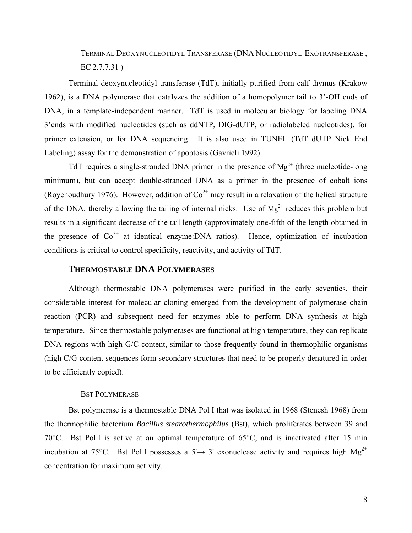# TERMINAL DEOXYNUCLEOTIDYL TRANSFERASE (DNA NUCLEOTIDYL-EXOTRANSFERASE , EC 2.7.7.31 )

Terminal deoxynucleotidyl transferase (TdT), initially purified from calf thymus (Krakow 1962), is a DNA polymerase that catalyzes the addition of a homopolymer tail to 3'-OH ends of DNA, in a template-independent manner. TdT is used in molecular biology for labeling DNA 3'ends with modified nucleotides (such as ddNTP, DIG-dUTP, or radiolabeled nucleotides), for primer extension, or for DNA sequencing. It is also used in TUNEL (TdT dUTP Nick End Labeling) assay for the demonstration of apoptosis (Gavrieli 1992).

TdT requires a single-stranded DNA primer in the presence of  $Mg^{2+}$  (three nucleotide-long minimum), but can accept double-stranded DNA as a primer in the presence of cobalt ions (Roychoudhury 1976). However, addition of  $\text{Co}^{2+}$  may result in a relaxation of the helical structure of the DNA, thereby allowing the tailing of internal nicks. Use of  $Mg^{2+}$  reduces this problem but results in a significant decrease of the tail length (approximately one-fifth of the length obtained in the presence of  $Co^{2+}$  at identical enzyme:DNA ratios). Hence, optimization of incubation conditions is critical to control specificity, reactivity, and activity of TdT.

## **THERMOSTABLE DNA POLYMERASES**

Although thermostable DNA polymerases were purified in the early seventies, their considerable interest for molecular cloning emerged from the development of polymerase chain reaction (PCR) and subsequent need for enzymes able to perform DNA synthesis at high temperature. Since thermostable polymerases are functional at high temperature, they can replicate DNA regions with high G/C content, similar to those frequently found in thermophilic organisms (high C/G content sequences form secondary structures that need to be properly denatured in order to be efficiently copied).

#### **BST POLYMERASE**

Bst polymerase is a thermostable DNA Pol I that was isolated in 1968 (Stenesh 1968) from the thermophilic bacterium *Bacillus stearothermophilus* (Bst), which proliferates between 39 and 70°C. Bst Pol I is active at an optimal temperature of 65°C, and is inactivated after 15 min incubation at 75°C. Bst Pol I possesses a 5' $\rightarrow$  3' exonuclease activity and requires high Mg<sup>2+</sup> concentration for maximum activity.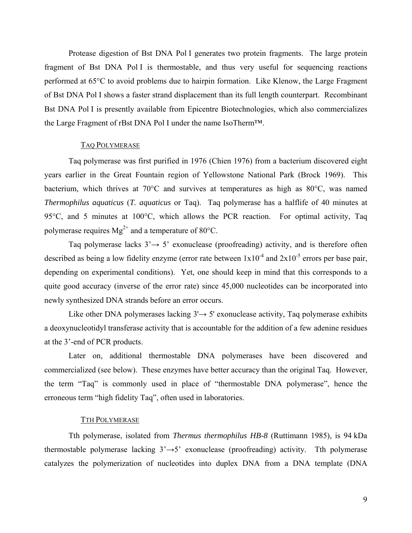Protease digestion of Bst DNA Pol I generates two protein fragments. The large protein fragment of Bst DNA Pol I is thermostable, and thus very useful for sequencing reactions performed at 65°C to avoid problems due to hairpin formation. Like Klenow, the Large Fragment of Bst DNA Pol I shows a faster strand displacement than its full length counterpart. Recombinant Bst DNA Pol I is presently available from Epicentre Biotechnologies, which also commercializes the Large Fragment of rBst DNA Pol I under the name IsoTherm™.

### TAQ POLYMERASE

Taq polymerase was first purified in 1976 (Chien 1976) from a bacterium discovered eight years earlier in the Great Fountain region of Yellowstone National Park (Brock 1969). This bacterium, which thrives at 70°C and survives at temperatures as high as 80°C, was named *Thermophilus aquaticus* (*T. aquaticus* or Taq). Taq polymerase has a halflife of 40 minutes at 95°C, and 5 minutes at 100°C, which allows the PCR reaction. For optimal activity, Taq polymerase requires  $Mg^{2+}$  and a temperature of 80 $^{\circ}$ C.

Taq polymerase lacks  $3' \rightarrow 5'$  exonuclease (proofreading) activity, and is therefore often described as being a low fidelity enzyme (error rate between  $1x10^{-4}$  and  $2x10^{-5}$  errors per base pair, depending on experimental conditions). Yet, one should keep in mind that this corresponds to a quite good accuracy (inverse of the error rate) since 45,000 nucleotides can be incorporated into newly synthesized DNA strands before an error occurs.

Like other DNA polymerases lacking  $3' \rightarrow 5'$  exonuclease activity, Taq polymerase exhibits a deoxynucleotidyl transferase activity that is accountable for the addition of a few adenine residues at the 3'-end of PCR products.

Later on, additional thermostable DNA polymerases have been discovered and commercialized (see below). These enzymes have better accuracy than the original Taq. However, the term "Taq" is commonly used in place of "thermostable DNA polymerase", hence the erroneous term "high fidelity Taq", often used in laboratories.

### TTH POLYMERASE

Tth polymerase, isolated from *Thermus thermophilus HB-8* (Ruttimann 1985), is 94 kDa thermostable polymerase lacking  $3' \rightarrow 5'$  exonuclease (proofreading) activity. Tth polymerase catalyzes the polymerization of nucleotides into duplex DNA from a DNA template (DNA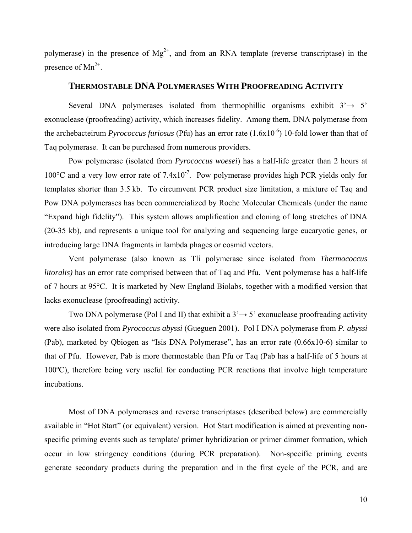polymerase) in the presence of  $Mg^{2+}$ , and from an RNA template (reverse transcriptase) in the presence of  $Mn^{2+}$ .

# **THERMOSTABLE DNA POLYMERASES WITH PROOFREADING ACTIVITY**

Several DNA polymerases isolated from thermophillic organisms exhibit  $3 \rightarrow 5'$ exonuclease (proofreading) activity, which increases fidelity. Among them, DNA polymerase from the archebacteirum *Pyrococcus furiosus* (Pfu) has an error rate  $(1.6x10^{-6})$  10-fold lower than that of Taq polymerase. It can be purchased from numerous providers.

Pow polymerase (isolated from *Pyrococcus woesei*) has a half-life greater than 2 hours at 100 $^{\circ}$ C and a very low error rate of 7.4x10<sup>-7</sup>. Pow polymerase provides high PCR yields only for templates shorter than 3.5 kb. To circumvent PCR product size limitation, a mixture of Taq and Pow DNA polymerases has been commercialized by Roche Molecular Chemicals (under the name "Expand high fidelity"). This system allows amplification and cloning of long stretches of DNA (20-35 kb), and represents a unique tool for analyzing and sequencing large eucaryotic genes, or introducing large DNA fragments in lambda phages or cosmid vectors.

Vent polymerase (also known as Tli polymerase since isolated from *Thermococcus litoralis)* has an error rate comprised between that of Taq and Pfu. Vent polymerase has a half-life of 7 hours at 95°C. It is marketed by New England Biolabs, together with a modified version that lacks exonuclease (proofreading) activity.

Two DNA polymerase (Pol I and II) that exhibit a  $3 \rightarrow 5'$  exonuclease proofreading activity were also isolated from *Pyrococcus abyssi* (Gueguen 2001). Pol I DNA polymerase from *P. abyssi* (Pab), marketed by Qbiogen as "Isis DNA Polymerase", has an error rate (0.66x10-6) similar to that of Pfu. However, Pab is more thermostable than Pfu or Taq (Pab has a half-life of 5 hours at 100ºC), therefore being very useful for conducting PCR reactions that involve high temperature incubations.

Most of DNA polymerases and reverse transcriptases (described below) are commercially available in "Hot Start" (or equivalent) version. Hot Start modification is aimed at preventing nonspecific priming events such as template/ primer hybridization or primer dimmer formation, which occur in low stringency conditions (during PCR preparation). Non-specific priming events generate secondary products during the preparation and in the first cycle of the PCR, and are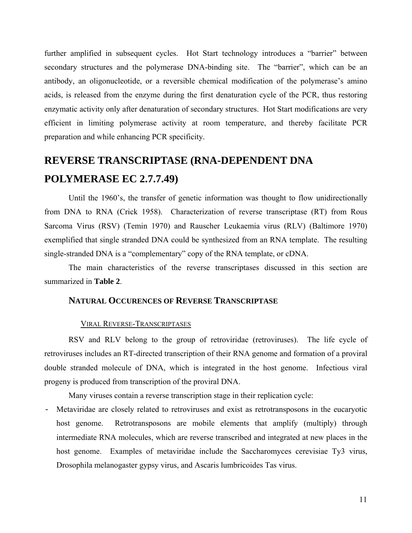further amplified in subsequent cycles. Hot Start technology introduces a "barrier" between secondary structures and the polymerase DNA-binding site. The "barrier", which can be an antibody, an oligonucleotide, or a reversible chemical modification of the polymerase's amino acids, is released from the enzyme during the first denaturation cycle of the PCR, thus restoring enzymatic activity only after denaturation of secondary structures. Hot Start modifications are very efficient in limiting polymerase activity at room temperature, and thereby facilitate PCR preparation and while enhancing PCR specificity.

# **REVERSE TRANSCRIPTASE (RNA-DEPENDENT DNA POLYMERASE EC 2.7.7.49)**

Until the 1960's, the transfer of genetic information was thought to flow unidirectionally from DNA to RNA (Crick 1958). Characterization of reverse transcriptase (RT) from Rous Sarcoma Virus (RSV) (Temin 1970) and Rauscher Leukaemia virus (RLV) (Baltimore 1970) exemplified that single stranded DNA could be synthesized from an RNA template. The resulting single-stranded DNA is a "complementary" copy of the RNA template, or cDNA.

The main characteristics of the reverse transcriptases discussed in this section are summarized in **Table 2**.

# **NATURAL OCCURENCES OF REVERSE TRANSCRIPTASE**

### VIRAL REVERSE-TRANSCRIPTASES

RSV and RLV belong to the group of retroviridae (retroviruses). The life cycle of retroviruses includes an RT-directed transcription of their RNA genome and formation of a proviral double stranded molecule of DNA, which is integrated in the host genome. Infectious viral progeny is produced from transcription of the proviral DNA.

Many viruses contain a reverse transcription stage in their replication cycle:

- Metaviridae are closely related to retroviruses and exist as retrotransposons in the eucaryotic host genome. Retrotransposons are mobile elements that amplify (multiply) through intermediate RNA molecules, which are reverse transcribed and integrated at new places in the host genome. Examples of metaviridae include the Saccharomyces cerevisiae Ty3 virus, Drosophila melanogaster gypsy virus, and Ascaris lumbricoides Tas virus.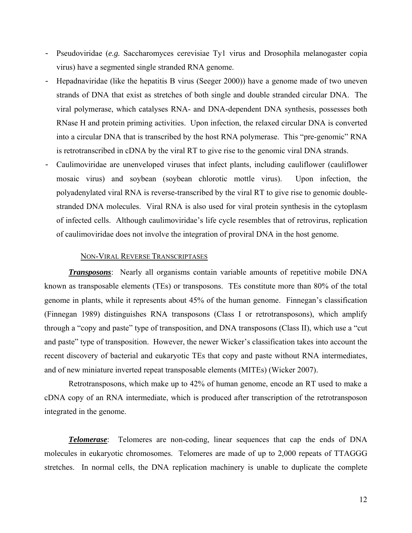- Pseudoviridae (*e.g.* Saccharomyces cerevisiae Ty1 virus and Drosophila melanogaster copia virus) have a segmented single stranded RNA genome.
- Hepadnaviridae (like the hepatitis B virus (Seeger 2000)) have a genome made of two uneven strands of DNA that exist as stretches of both single and double stranded circular DNA. The viral polymerase, which catalyses RNA- and DNA-dependent DNA synthesis, possesses both RNase H and protein priming activities. Upon infection, the relaxed circular DNA is converted into a circular DNA that is transcribed by the host RNA polymerase. This "pre-genomic" RNA is retrotranscribed in cDNA by the viral RT to give rise to the genomic viral DNA strands.
- Caulimoviridae are unenveloped viruses that infect plants, including cauliflower (cauliflower mosaic virus) and soybean (soybean chlorotic mottle virus). Upon infection, the polyadenylated viral RNA is reverse-transcribed by the viral RT to give rise to genomic doublestranded DNA molecules. Viral RNA is also used for viral protein synthesis in the cytoplasm of infected cells. Although caulimoviridae's life cycle resembles that of retrovirus, replication of caulimoviridae does not involve the integration of proviral DNA in the host genome.

#### NON-VIRAL REVERSE TRANSCRIPTASES

*Transposons*: Nearly all organisms contain variable amounts of repetitive mobile DNA known as transposable elements (TEs) or transposons. TEs constitute more than 80% of the total genome in plants, while it represents about 45% of the human genome. Finnegan's classification (Finnegan 1989) distinguishes RNA transposons (Class I or retrotransposons), which amplify through a "copy and paste" type of transposition, and DNA transposons (Class II), which use a "cut and paste" type of transposition. However, the newer Wicker's classification takes into account the recent discovery of bacterial and eukaryotic TEs that copy and paste without RNA intermediates, and of new miniature inverted repeat transposable elements (MITEs) (Wicker 2007).

Retrotransposons, which make up to 42% of human genome, encode an RT used to make a cDNA copy of an RNA intermediate, which is produced after transcription of the retrotransposon integrated in the genome.

*Telomerase*: Telomeres are non-coding, linear sequences that cap the ends of DNA molecules in eukaryotic chromosomes. Telomeres are made of up to 2,000 repeats of TTAGGG stretches. In normal cells, the DNA replication machinery is unable to duplicate the complete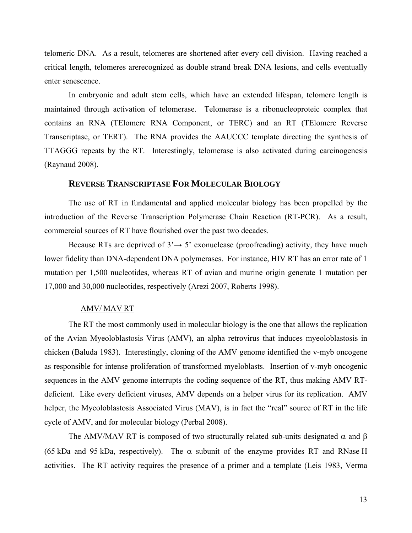telomeric DNA. As a result, telomeres are shortened after every cell division. Having reached a critical length, telomeres arerecognized as double strand break DNA lesions, and cells eventually enter senescence.

In embryonic and adult stem cells, which have an extended lifespan, telomere length is maintained through activation of telomerase. Telomerase is a ribonucleoproteic complex that contains an RNA (TElomere RNA Component, or TERC) and an RT (TElomere Reverse Transcriptase, or TERT). The RNA provides the AAUCCC template directing the synthesis of TTAGGG repeats by the RT. Interestingly, telomerase is also activated during carcinogenesis (Raynaud 2008).

### **REVERSE TRANSCRIPTASE FOR MOLECULAR BIOLOGY**

The use of RT in fundamental and applied molecular biology has been propelled by the introduction of the Reverse Transcription Polymerase Chain Reaction (RT-PCR). As a result, commercial sources of RT have flourished over the past two decades.

Because RTs are deprived of  $3 \rightarrow 5$  exonuclease (proofreading) activity, they have much lower fidelity than DNA-dependent DNA polymerases. For instance, HIV RT has an error rate of 1 mutation per 1,500 nucleotides, whereas RT of avian and murine origin generate 1 mutation per 17,000 and 30,000 nucleotides, respectively (Arezi 2007, Roberts 1998).

### AMV/ MAV RT

The RT the most commonly used in molecular biology is the one that allows the replication of the Avian Myeoloblastosis Virus (AMV), an alpha retrovirus that induces myeoloblastosis in chicken (Baluda 1983). Interestingly, cloning of the AMV genome identified the v-myb oncogene as responsible for intense proliferation of transformed myeloblasts. Insertion of v-myb oncogenic sequences in the AMV genome interrupts the coding sequence of the RT, thus making AMV RTdeficient. Like every deficient viruses, AMV depends on a helper virus for its replication. AMV helper, the Myeoloblastosis Associated Virus (MAV), is in fact the "real" source of RT in the life cycle of AMV, and for molecular biology (Perbal 2008).

The AMV/MAV RT is composed of two structurally related sub-units designated  $\alpha$  and  $\beta$ (65 kDa and 95 kDa, respectively). The  $\alpha$  subunit of the enzyme provides RT and RNase H activities. The RT activity requires the presence of a primer and a template (Leis 1983, Verma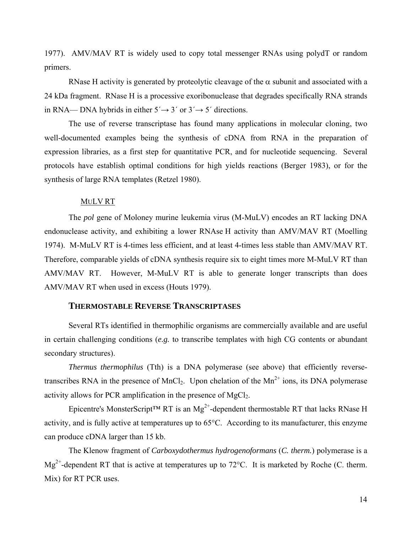1977). AMV/MAV RT is widely used to copy total messenger RNAs using polydT or random primers.

RNase H activity is generated by proteolytic cleavage of the  $\alpha$  subunit and associated with a 24 kDa fragment. RNase H is a processive exoribonuclease that degrades specifically RNA strands in RNA— DNA hybrids in either  $5' \rightarrow 3'$  or  $3' \rightarrow 5'$  directions.

The use of reverse transcriptase has found many applications in molecular cloning, two well-documented examples being the synthesis of cDNA from RNA in the preparation of expression libraries, as a first step for quantitative PCR, and for nucleotide sequencing. Several protocols have establish optimal conditions for high yields reactions (Berger 1983), or for the synthesis of large RNA templates (Retzel 1980).

### MULV RT

The *pol* gene of Moloney murine leukemia virus (M-MuLV) encodes an RT lacking DNA endonuclease activity, and exhibiting a lower RNAse H activity than AMV/MAV RT (Moelling 1974). M-MuLV RT is 4-times less efficient, and at least 4-times less stable than AMV/MAV RT. Therefore, comparable yields of cDNA synthesis require six to eight times more M-MuLV RT than AMV/MAV RT. However, M-MuLV RT is able to generate longer transcripts than does AMV/MAV RT when used in excess (Houts 1979).

# **THERMOSTABLE REVERSE TRANSCRIPTASES**

Several RTs identified in thermophilic organisms are commercially available and are useful in certain challenging conditions (*e.g.* to transcribe templates with high CG contents or abundant secondary structures).

*Thermus thermophilus* (Tth) is a DNA polymerase (see above) that efficiently reversetranscribes RNA in the presence of MnCl<sub>2</sub>. Upon chelation of the  $Mn^{2+}$  ions, its DNA polymerase activity allows for PCR amplification in the presence of  $MgCl<sub>2</sub>$ .

Epicentre's MonsterScript<sup>TM</sup> RT is an Mg<sup>2+</sup>-dependent thermostable RT that lacks RNase H activity, and is fully active at temperatures up to 65°C. According to its manufacturer, this enzyme can produce cDNA larger than 15 kb.

The Klenow fragment of *Carboxydothermus hydrogenoformans* (*C. therm.*) polymerase is a  $Mg^{2+}$ -dependent RT that is active at temperatures up to 72 $^{\circ}$ C. It is marketed by Roche (C. therm. Mix) for RT PCR uses.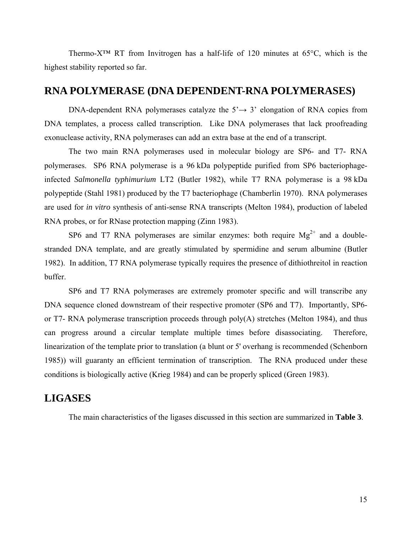Thermo-X™ RT from Invitrogen has a half-life of 120 minutes at 65°C, which is the highest stability reported so far.

# **RNA POLYMERASE (DNA DEPENDENT-RNA POLYMERASES)**

DNA-dependent RNA polymerases catalyze the  $5' \rightarrow 3'$  elongation of RNA copies from DNA templates, a process called transcription. Like DNA polymerases that lack proofreading exonuclease activity, RNA polymerases can add an extra base at the end of a transcript.

The two main RNA polymerases used in molecular biology are SP6- and T7- RNA polymerases. SP6 RNA polymerase is a 96 kDa polypeptide purified from SP6 bacteriophageinfected *Salmonella typhimurium* LT2 (Butler 1982), while T7 RNA polymerase is a 98 kDa polypeptide (Stahl 1981) produced by the T7 bacteriophage (Chamberlin 1970). RNA polymerases are used for *in vitro* synthesis of anti-sense RNA transcripts (Melton 1984), production of labeled RNA probes, or for RNase protection mapping (Zinn 1983).

SP6 and T7 RNA polymerases are similar enzymes: both require  $Mg^{2+}$  and a doublestranded DNA template, and are greatly stimulated by spermidine and serum albumine (Butler 1982). In addition, T7 RNA polymerase typically requires the presence of dithiothreitol in reaction buffer.

SP6 and T7 RNA polymerases are extremely promoter specific and will transcribe any DNA sequence cloned downstream of their respective promoter (SP6 and T7). Importantly, SP6 or T7- RNA polymerase transcription proceeds through poly(A) stretches (Melton 1984), and thus can progress around a circular template multiple times before disassociating. Therefore, linearization of the template prior to translation (a blunt or 5' overhang is recommended (Schenborn 1985)) will guaranty an efficient termination of transcription. The RNA produced under these conditions is biologically active (Krieg 1984) and can be properly spliced (Green 1983).

# **LIGASES**

The main characteristics of the ligases discussed in this section are summarized in **Table 3**.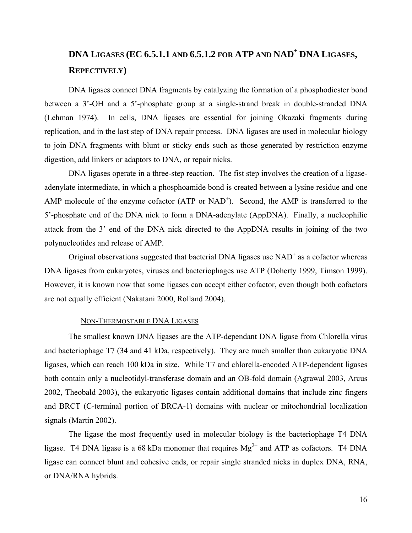# **DNA LIGASES (EC 6.5.1.1 AND 6.5.1.2 FOR ATP AND NAD<sup>+</sup> DNA LIGASES, REPECTIVELY)**

DNA ligases connect DNA fragments by catalyzing the formation of a phosphodiester bond between a 3'-OH and a 5'-phosphate group at a single-strand break in double-stranded DNA (Lehman 1974). In cells, DNA ligases are essential for joining Okazaki fragments during replication, and in the last step of DNA repair process. DNA ligases are used in molecular biology to join DNA fragments with blunt or sticky ends such as those generated by restriction enzyme digestion, add linkers or adaptors to DNA, or repair nicks.

DNA ligases operate in a three-step reaction. The fist step involves the creation of a ligaseadenylate intermediate, in which a phosphoamide bond is created between a lysine residue and one AMP molecule of the enzyme cofactor  $(ATP$  or  $NAD<sup>+</sup>)$ . Second, the AMP is transferred to the 5'-phosphate end of the DNA nick to form a DNA-adenylate (AppDNA). Finally, a nucleophilic attack from the 3' end of the DNA nick directed to the AppDNA results in joining of the two polynucleotides and release of AMP.

Original observations suggested that bacterial DNA ligases use  $NAD<sup>+</sup>$  as a cofactor whereas DNA ligases from eukaryotes, viruses and bacteriophages use ATP (Doherty 1999, Timson 1999). However, it is known now that some ligases can accept either cofactor, even though both cofactors are not equally efficient (Nakatani 2000, Rolland 2004).

### NON-THERMOSTABLE DNA LIGASES

The smallest known DNA ligases are the ATP-dependant DNA ligase from Chlorella virus and bacteriophage T7 (34 and 41 kDa, respectively). They are much smaller than eukaryotic DNA ligases, which can reach 100 kDa in size. While T7 and chlorella-encoded ATP-dependent ligases both contain only a nucleotidyl-transferase domain and an OB-fold domain (Agrawal 2003, Arcus 2002, Theobald 2003), the eukaryotic ligases contain additional domains that include zinc fingers and BRCT (C-terminal portion of BRCA-1) domains with nuclear or mitochondrial localization signals (Martin 2002).

The ligase the most frequently used in molecular biology is the bacteriophage T4 DNA ligase. T4 DNA ligase is a 68 kDa monomer that requires  $Mg^{2+}$  and ATP as cofactors. T4 DNA ligase can connect blunt and cohesive ends, or repair single stranded nicks in duplex DNA, RNA, or DNA/RNA hybrids.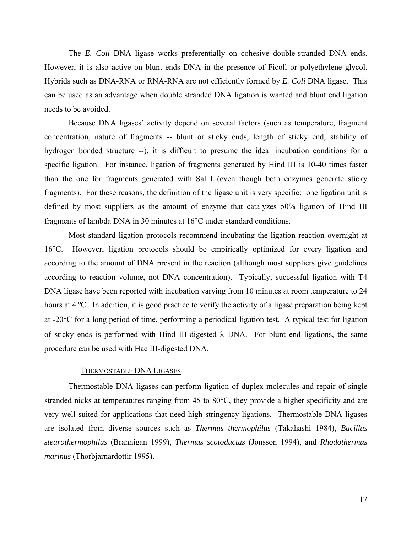The *E. Coli* DNA ligase works preferentially on cohesive double-stranded DNA ends. However, it is also active on blunt ends DNA in the presence of Ficoll or polyethylene glycol. Hybrids such as DNA-RNA or RNA-RNA are not efficiently formed by *E. Coli* DNA ligase. This can be used as an advantage when double stranded DNA ligation is wanted and blunt end ligation needs to be avoided.

Because DNA ligases' activity depend on several factors (such as temperature, fragment concentration, nature of fragments -- blunt or sticky ends, length of sticky end, stability of hydrogen bonded structure --), it is difficult to presume the ideal incubation conditions for a specific ligation. For instance, ligation of fragments generated by Hind III is 10-40 times faster than the one for fragments generated with Sal I (even though both enzymes generate sticky fragments). For these reasons, the definition of the ligase unit is very specific: one ligation unit is defined by most suppliers as the amount of enzyme that catalyzes 50% ligation of Hind III fragments of lambda DNA in 30 minutes at 16°C under standard conditions.

Most standard ligation protocols recommend incubating the ligation reaction overnight at 16°C. However, ligation protocols should be empirically optimized for every ligation and according to the amount of DNA present in the reaction (although most suppliers give guidelines according to reaction volume, not DNA concentration). Typically, successful ligation with T4 DNA ligase have been reported with incubation varying from 10 minutes at room temperature to 24 hours at 4 °C. In addition, it is good practice to verify the activity of a ligase preparation being kept at -20°C for a long period of time, performing a periodical ligation test. A typical test for ligation of sticky ends is performed with Hind III-digested  $\lambda$  DNA. For blunt end ligations, the same procedure can be used with Hae III-digested DNA.

#### THERMOSTABLE DNA LIGASES

Thermostable DNA ligases can perform ligation of duplex molecules and repair of single stranded nicks at temperatures ranging from 45 to 80°C, they provide a higher specificity and are very well suited for applications that need high stringency ligations. Thermostable DNA ligases are isolated from diverse sources such as *Thermus thermophilus* (Takahashi 1984), *Bacillus stearothermophilus* (Brannigan 1999), *Thermus scotoductus* (Jonsson 1994), and *Rhodothermus marinus* (Thorbjarnardottir 1995).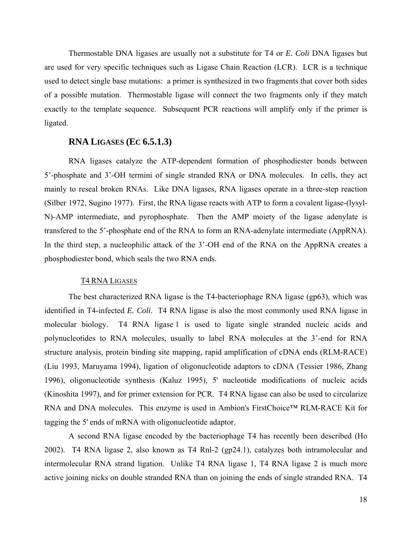Thermostable DNA ligases are usually not a substitute for T4 or *E. Coli* DNA ligases but are used for very specific techniques such as Ligase Chain Reaction (LCR). LCR is a technique used to detect single base mutations: a primer is synthesized in two fragments that cover both sides of a possible mutation. Thermostable ligase will connect the two fragments only if they match exactly to the template sequence. Subsequent PCR reactions will amplify only if the primer is ligated.

# **RNA LIGASES (EC 6.5.1.3)**

RNA ligases catalyze the ATP-dependent formation of phosphodiester bonds between 5'-phosphate and 3'-OH termini of single stranded RNA or DNA molecules. In cells, they act mainly to reseal broken RNAs. Like DNA ligases, RNA ligases operate in a three-step reaction (Silber 1972, Sugino 1977). First, the RNA ligase reacts with ATP to form a covalent ligase-(lysyl-N)-AMP intermediate, and pyrophosphate. Then the AMP moiety of the ligase adenylate is transfered to the 5'-phosphate end of the RNA to form an RNA-adenylate intermediate (AppRNA). In the third step, a nucleophilic attack of the 3'-OH end of the RNA on the AppRNA creates a phosphodiester bond, which seals the two RNA ends.

#### T4 RNA LIGASES

The best characterized RNA ligase is the T4-bacteriophage RNA ligase (gp63), which was identified in T4-infected *E. Coli*. T4 RNA ligase is also the most commonly used RNA ligase in molecular biology. T4 RNA ligase 1 is used to ligate single stranded nucleic acids and polynucleotides to RNA molecules, usually to label RNA molecules at the 3'-end for RNA structure analysis, protein binding site mapping, rapid amplification of cDNA ends (RLM-RACE) (Liu 1993, Maruyama 1994), ligation of oligonucleotide adaptors to cDNA (Tessier 1986, Zhang 1996), oligonucleotide synthesis (Kaluz 1995), 5' nucleotide modifications of nucleic acids (Kinoshita 1997), and for primer extension for PCR. T4 RNA ligase can also be used to circularize RNA and DNA molecules. This enzyme is used in Ambion's FirstChoice™ RLM-RACE Kit for tagging the 5' ends of mRNA with oligonucleotide adaptor.

A second RNA ligase encoded by the bacteriophage T4 has recently been described (Ho 2002). T4 RNA ligase 2, also known as T4 Rnl-2 (gp24.1), catalyzes both intramolecular and intermolecular RNA strand ligation. Unlike T4 RNA ligase 1, T4 RNA ligase 2 is much more active joining nicks on double stranded RNA than on joining the ends of single stranded RNA. T4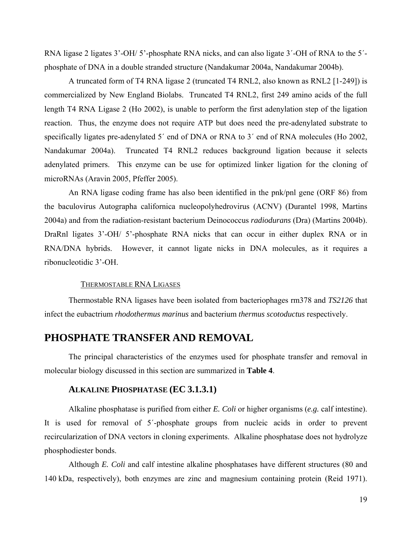RNA ligase 2 ligates 3'-OH/ 5'-phosphate RNA nicks, and can also ligate 3'-OH of RNA to the 5'phosphate of DNA in a double stranded structure (Nandakumar 2004a, Nandakumar 2004b).

A truncated form of T4 RNA ligase 2 (truncated T4 RNL2, also known as RNL2 [1-249]) is commercialized by New England Biolabs. Truncated T4 RNL2, first 249 amino acids of the full length T4 RNA Ligase 2 (Ho 2002), is unable to perform the first adenylation step of the ligation reaction. Thus, the enzyme does not require ATP but does need the pre-adenylated substrate to specifically ligates pre-adenylated 5<sup>'</sup> end of DNA or RNA to 3<sup>'</sup> end of RNA molecules (Ho 2002, Nandakumar 2004a). Truncated T4 RNL2 reduces background ligation because it selects adenylated primers. This enzyme can be use for optimized linker ligation for the cloning of microRNAs (Aravin 2005, Pfeffer 2005).

An RNA ligase coding frame has also been identified in the pnk/pnl gene (ORF 86) from the baculovirus Autographa californica nucleopolyhedrovirus (ACNV) (Durantel 1998, Martins 2004a) and from the radiation-resistant bacterium Deinococcus *radiodurans* (Dra) (Martins 2004b). DraRnl ligates 3'-OH/ 5'-phosphate RNA nicks that can occur in either duplex RNA or in RNA/DNA hybrids. However, it cannot ligate nicks in DNA molecules, as it requires a ribonucleotidic 3'-OH.

#### THERMOSTABLE RNA LIGASES

Thermostable RNA ligases have been isolated from bacteriophages rm378 and *TS2126* that infect the eubactrium *rhodothermus marinus* and bacterium *thermus scotoductus* respectively.

# **PHOSPHATE TRANSFER AND REMOVAL**

The principal characteristics of the enzymes used for phosphate transfer and removal in molecular biology discussed in this section are summarized in **Table 4**.

# **ALKALINE PHOSPHATASE (EC 3.1.3.1)**

Alkaline phosphatase is purified from either *E. Coli* or higher organisms (*e.g.* calf intestine). It is used for removal of 5´-phosphate groups from nucleic acids in order to prevent recircularization of DNA vectors in cloning experiments. Alkaline phosphatase does not hydrolyze phosphodiester bonds.

Although *E. Coli* and calf intestine alkaline phosphatases have different structures (80 and 140 kDa, respectively), both enzymes are zinc and magnesium containing protein (Reid 1971).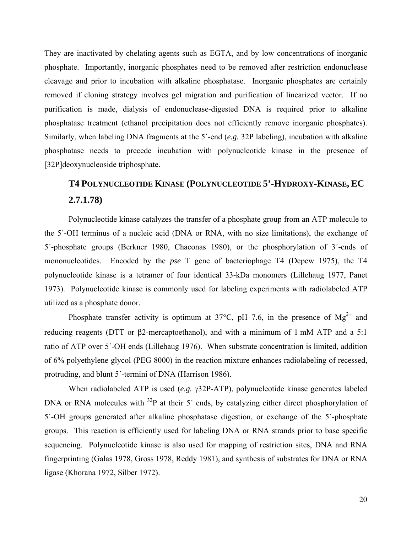They are inactivated by chelating agents such as EGTA, and by low concentrations of inorganic phosphate. Importantly, inorganic phosphates need to be removed after restriction endonuclease cleavage and prior to incubation with alkaline phosphatase. Inorganic phosphates are certainly removed if cloning strategy involves gel migration and purification of linearized vector. If no purification is made, dialysis of endonuclease-digested DNA is required prior to alkaline phosphatase treatment (ethanol precipitation does not efficiently remove inorganic phosphates). Similarly, when labeling DNA fragments at the 5´-end (*e.g.* 32P labeling), incubation with alkaline phosphatase needs to precede incubation with polynucleotide kinase in the presence of [32P]deoxynucleoside triphosphate.

# **T4 POLYNUCLEOTIDE KINASE (POLYNUCLEOTIDE 5'-HYDROXY-KINASE, EC 2.7.1.78)**

Polynucleotide kinase catalyzes the transfer of a phosphate group from an ATP molecule to the 5´-OH terminus of a nucleic acid (DNA or RNA, with no size limitations), the exchange of 5´-phosphate groups (Berkner 1980, Chaconas 1980), or the phosphorylation of 3´-ends of mononucleotides. Encoded by the *pse* T gene of bacteriophage T4 (Depew 1975), the T4 polynucleotide kinase is a tetramer of four identical 33-kDa monomers (Lillehaug 1977, Panet 1973). Polynucleotide kinase is commonly used for labeling experiments with radiolabeled ATP utilized as a phosphate donor.

Phosphate transfer activity is optimum at 37°C, pH 7.6, in the presence of  $Mg^{2+}$  and reducing reagents (DTT or β2-mercaptoethanol), and with a minimum of 1 mM ATP and a 5:1 ratio of ATP over 5´-OH ends (Lillehaug 1976). When substrate concentration is limited, addition of 6% polyethylene glycol (PEG 8000) in the reaction mixture enhances radiolabeling of recessed, protruding, and blunt 5´-termini of DNA (Harrison 1986).

When radiolabeled ATP is used (*e.g.* γ32P-ATP), polynucleotide kinase generates labeled DNA or RNA molecules with <sup>32</sup>P at their 5<sup>'</sup> ends, by catalyzing either direct phosphorylation of 5´-OH groups generated after alkaline phosphatase digestion, or exchange of the 5´-phosphate groups. This reaction is efficiently used for labeling DNA or RNA strands prior to base specific sequencing. Polynucleotide kinase is also used for mapping of restriction sites, DNA and RNA fingerprinting (Galas 1978, Gross 1978, Reddy 1981), and synthesis of substrates for DNA or RNA ligase (Khorana 1972, Silber 1972).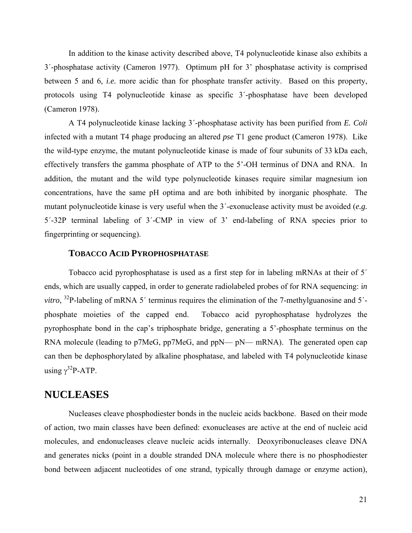In addition to the kinase activity described above, T4 polynucleotide kinase also exhibits a 3´-phosphatase activity (Cameron 1977). Optimum pH for 3' phosphatase activity is comprised between 5 and 6, *i.e.* more acidic than for phosphate transfer activity. Based on this property, protocols using T4 polynucleotide kinase as specific 3´-phosphatase have been developed (Cameron 1978).

A T4 polynucleotide kinase lacking 3´-phosphatase activity has been purified from *E. Coli* infected with a mutant T4 phage producing an altered *pse* T1 gene product (Cameron 1978). Like the wild-type enzyme, the mutant polynucleotide kinase is made of four subunits of 33 kDa each, effectively transfers the gamma phosphate of ATP to the 5'-OH terminus of DNA and RNA. In addition, the mutant and the wild type polynucleotide kinases require similar magnesium ion concentrations, have the same pH optima and are both inhibited by inorganic phosphate. The mutant polynucleotide kinase is very useful when the 3´-exonuclease activity must be avoided (*e.g.* 5´-32P terminal labeling of 3´-CMP in view of 3' end-labeling of RNA species prior to fingerprinting or sequencing).

# **TOBACCO ACID PYROPHOSPHATASE**

Tobacco acid pyrophosphatase is used as a first step for in labeling mRNAs at their of 5´ ends, which are usually capped, in order to generate radiolabeled probes of for RNA sequencing: i*n vitro*, <sup>32</sup>P-labeling of mRNA 5<sup>'</sup> terminus requires the elimination of the 7-methylguanosine and 5<sup>'</sup>phosphate moieties of the capped end. Tobacco acid pyrophosphatase hydrolyzes the pyrophosphate bond in the cap's triphosphate bridge, generating a 5'-phosphate terminus on the RNA molecule (leading to p7MeG, pp7MeG, and ppN— pN— mRNA). The generated open cap can then be dephosphorylated by alkaline phosphatase, and labeled with T4 polynucleotide kinase using  $\gamma^{32}$ P-ATP.

# **NUCLEASES**

Nucleases cleave phosphodiester bonds in the nucleic acids backbone. Based on their mode of action, two main classes have been defined: exonucleases are active at the end of nucleic acid molecules, and endonucleases cleave nucleic acids internally. Deoxyribonucleases cleave DNA and generates nicks (point in a double stranded DNA molecule where there is no phosphodiester bond between adjacent nucleotides of one strand, typically through damage or enzyme action),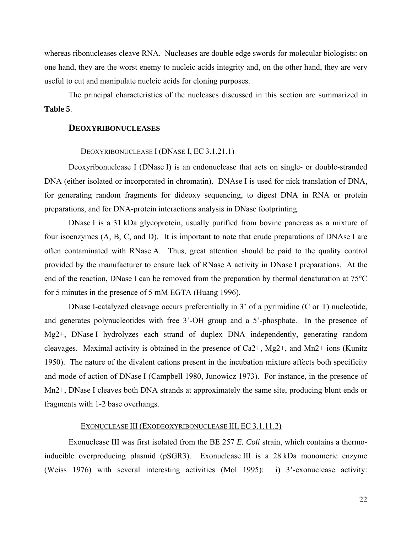whereas ribonucleases cleave RNA. Nucleases are double edge swords for molecular biologists: on one hand, they are the worst enemy to nucleic acids integrity and, on the other hand, they are very useful to cut and manipulate nucleic acids for cloning purposes.

The principal characteristics of the nucleases discussed in this section are summarized in **Table 5**.

### **DEOXYRIBONUCLEASES**

### DEOXYRIBONUCLEASE I (DNASE I, EC 3.1.21.1)

Deoxyribonuclease I (DNase I) is an endonuclease that acts on single- or double-stranded DNA (either isolated or incorporated in chromatin). DNAse I is used for nick translation of DNA, for generating random fragments for dideoxy sequencing, to digest DNA in RNA or protein preparations, and for DNA-protein interactions analysis in DNase footprinting.

DNase I is a 31 kDa glycoprotein, usually purified from bovine pancreas as a mixture of four isoenzymes (A, B, C, and D). It is important to note that crude preparations of DNAse I are often contaminated with RNase A. Thus, great attention should be paid to the quality control provided by the manufacturer to ensure lack of RNase A activity in DNase I preparations. At the end of the reaction, DNase I can be removed from the preparation by thermal denaturation at 75°C for 5 minutes in the presence of 5 mM EGTA (Huang 1996).

DNase I-catalyzed cleavage occurs preferentially in 3' of a pyrimidine (C or T) nucleotide, and generates polynucleotides with free 3'-OH group and a 5'-phosphate. In the presence of Mg2+, DNase I hydrolyzes each strand of duplex DNA independently, generating random cleavages. Maximal activity is obtained in the presence of Ca2+, Mg2+, and Mn2+ ions (Kunitz 1950). The nature of the divalent cations present in the incubation mixture affects both specificity and mode of action of DNase I (Campbell 1980, Junowicz 1973). For instance, in the presence of Mn2+, DNase I cleaves both DNA strands at approximately the same site, producing blunt ends or fragments with 1-2 base overhangs.

#### EXONUCLEASE III (EXODEOXYRIBONUCLEASE III, EC 3.1.11.2)

Exonuclease III was first isolated from the BE 257 *E. Coli* strain, which contains a thermoinducible overproducing plasmid (pSGR3). Exonuclease III is a 28 kDa monomeric enzyme (Weiss 1976) with several interesting activities (Mol 1995): i) 3'-exonuclease activity: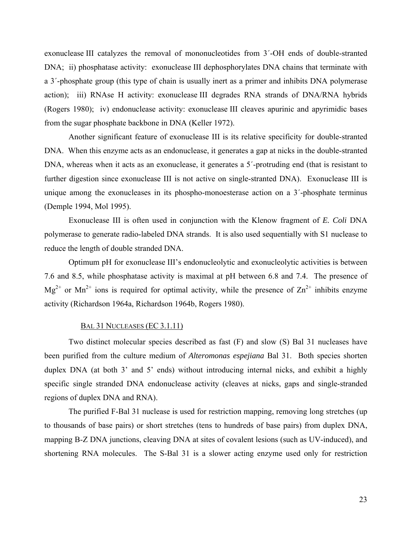exonuclease III catalyzes the removal of mononucleotides from 3´-OH ends of double-stranted DNA; ii) phosphatase activity: exonuclease III dephosphorylates DNA chains that terminate with a 3´-phosphate group (this type of chain is usually inert as a primer and inhibits DNA polymerase action); iii) RNAse H activity: exonuclease III degrades RNA strands of DNA/RNA hybrids (Rogers 1980); iv) endonuclease activity: exonuclease III cleaves apurinic and apyrimidic bases from the sugar phosphate backbone in DNA (Keller 1972).

Another significant feature of exonuclease III is its relative specificity for double-stranted DNA. When this enzyme acts as an endonuclease, it generates a gap at nicks in the double-stranted DNA, whereas when it acts as an exonuclease, it generates a 5'-protruding end (that is resistant to further digestion since exonuclease III is not active on single-stranted DNA). Exonuclease III is unique among the exonucleases in its phospho-monoesterase action on a 3´-phosphate terminus (Demple 1994, Mol 1995).

Exonuclease III is often used in conjunction with the Klenow fragment of *E. Coli* DNA polymerase to generate radio-labeled DNA strands. It is also used sequentially with S1 nuclease to reduce the length of double stranded DNA.

Optimum pH for exonuclease III's endonucleolytic and exonucleolytic activities is between 7.6 and 8.5, while phosphatase activity is maximal at pH between 6.8 and 7.4. The presence of  $Mg^{2+}$  or  $Mn^{2+}$  ions is required for optimal activity, while the presence of  $Zn^{2+}$  inhibits enzyme activity (Richardson 1964a, Richardson 1964b, Rogers 1980).

# BAL 31 NUCLEASES (EC 3.1.11)

Two distinct molecular species described as fast (F) and slow (S) Bal 31 nucleases have been purified from the culture medium of *Alteromonas espejiana* Bal 31. Both species shorten duplex DNA (at both 3' and 5' ends) without introducing internal nicks, and exhibit a highly specific single stranded DNA endonuclease activity (cleaves at nicks, gaps and single-stranded regions of duplex DNA and RNA).

The purified F-Bal 31 nuclease is used for restriction mapping, removing long stretches (up to thousands of base pairs) or short stretches (tens to hundreds of base pairs) from duplex DNA, mapping B-Z DNA junctions, cleaving DNA at sites of covalent lesions (such as UV-induced), and shortening RNA molecules. The S-Bal 31 is a slower acting enzyme used only for restriction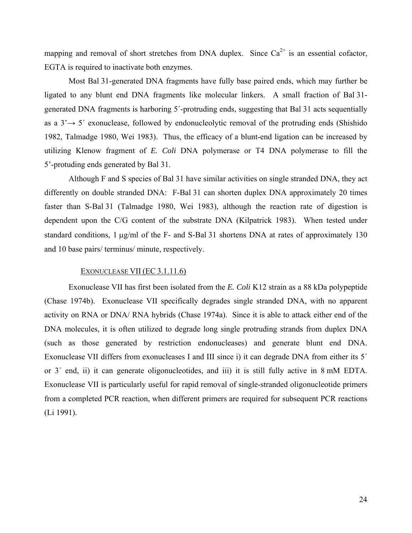mapping and removal of short stretches from DNA duplex. Since  $Ca^{2+}$  is an essential cofactor, EGTA is required to inactivate both enzymes.

Most Bal 31-generated DNA fragments have fully base paired ends, which may further be ligated to any blunt end DNA fragments like molecular linkers. A small fraction of Bal 31 generated DNA fragments is harboring 5´-protruding ends, suggesting that Bal 31 acts sequentially as a  $3' \rightarrow 5'$  exonuclease, followed by endonucleolytic removal of the protruding ends (Shishido) 1982, Talmadge 1980, Wei 1983). Thus, the efficacy of a blunt-end ligation can be increased by utilizing Klenow fragment of *E. Coli* DNA polymerase or T4 DNA polymerase to fill the 5'-protuding ends generated by Bal 31.

Although F and S species of Bal 31 have similar activities on single stranded DNA, they act differently on double stranded DNA: F-Bal 31 can shorten duplex DNA approximately 20 times faster than S-Bal 31 (Talmadge 1980, Wei 1983), although the reaction rate of digestion is dependent upon the C/G content of the substrate DNA (Kilpatrick 1983). When tested under standard conditions, 1 μg/ml of the F- and S-Bal 31 shortens DNA at rates of approximately 130 and 10 base pairs/ terminus/ minute, respectively.

### EXONUCLEASE VII (EC 3.1.11.6)

Exonuclease VII has first been isolated from the *E. Coli* K12 strain as a 88 kDa polypeptide (Chase 1974b). Exonuclease VII specifically degrades single stranded DNA, with no apparent activity on RNA or DNA/ RNA hybrids (Chase 1974a). Since it is able to attack either end of the DNA molecules, it is often utilized to degrade long single protruding strands from duplex DNA (such as those generated by restriction endonucleases) and generate blunt end DNA. Exonuclease VII differs from exonucleases I and III since i) it can degrade DNA from either its 5´ or 3´ end, ii) it can generate oligonucleotides, and iii) it is still fully active in 8 mM EDTA. Exonuclease VII is particularly useful for rapid removal of single-stranded oligonucleotide primers from a completed PCR reaction, when different primers are required for subsequent PCR reactions (Li 1991).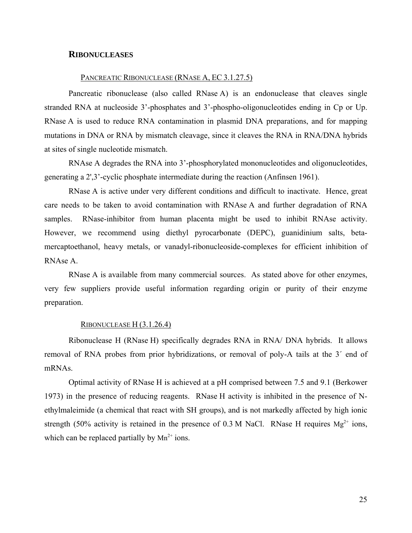## **RIBONUCLEASES**

## PANCREATIC RIBONUCLEASE (RNASE A, EC 3.1.27.5)

Pancreatic ribonuclease (also called RNase A) is an endonuclease that cleaves single stranded RNA at nucleoside 3'-phosphates and 3'-phospho-oligonucleotides ending in Cp or Up. RNase A is used to reduce RNA contamination in plasmid DNA preparations, and for mapping mutations in DNA or RNA by mismatch cleavage, since it cleaves the RNA in RNA/DNA hybrids at sites of single nucleotide mismatch.

RNAse A degrades the RNA into 3'-phosphorylated mononucleotides and oligonucleotides, generating a 2',3'-cyclic phosphate intermediate during the reaction (Anfinsen 1961).

RNase A is active under very different conditions and difficult to inactivate. Hence, great care needs to be taken to avoid contamination with RNAse A and further degradation of RNA samples. RNase-inhibitor from human placenta might be used to inhibit RNAse activity. However, we recommend using diethyl pyrocarbonate (DEPC), guanidinium salts, betamercaptoethanol, heavy metals, or vanadyl-ribonucleoside-complexes for efficient inhibition of RNAse A.

RNase A is available from many commercial sources. As stated above for other enzymes, very few suppliers provide useful information regarding origin or purity of their enzyme preparation.

#### RIBONUCLEASE H (3.1.26.4)

Ribonuclease H (RNase H) specifically degrades RNA in RNA/ DNA hybrids. It allows removal of RNA probes from prior hybridizations, or removal of poly-A tails at the 3´ end of mRNAs.

Optimal activity of RNase H is achieved at a pH comprised between 7.5 and 9.1 (Berkower 1973) in the presence of reducing reagents. RNase H activity is inhibited in the presence of Nethylmaleimide (a chemical that react with SH groups), and is not markedly affected by high ionic strength (50% activity is retained in the presence of 0.3 M NaCl. RNase H requires  $Mg^{2+}$  ions, which can be replaced partially by  $Mn^{2+}$  ions.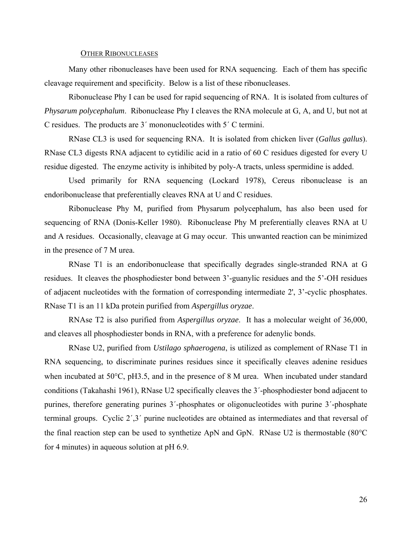#### OTHER RIBONUCLEASES

Many other ribonucleases have been used for RNA sequencing. Each of them has specific cleavage requirement and specificity. Below is a list of these ribonucleases.

Ribonuclease Phy I can be used for rapid sequencing of RNA. It is isolated from cultures of *Physarum polycephalum*. Ribonuclease Phy I cleaves the RNA molecule at G, A, and U, but not at C residues. The products are 3´ mononucleotides with 5´ C termini.

RNase CL3 is used for sequencing RNA. It is isolated from chicken liver (*Gallus gallus*). RNase CL3 digests RNA adjacent to cytidilic acid in a ratio of 60 C residues digested for every U residue digested. The enzyme activity is inhibited by poly-A tracts, unless spermidine is added.

Used primarily for RNA sequencing (Lockard 1978), Cereus ribonuclease is an endoribonuclease that preferentially cleaves RNA at U and C residues.

Ribonuclease Phy M, purified from Physarum polycephalum, has also been used for sequencing of RNA (Donis-Keller 1980). Ribonuclease Phy M preferentially cleaves RNA at U and A residues. Occasionally, cleavage at G may occur. This unwanted reaction can be minimized in the presence of 7 M urea.

RNase T1 is an endoribonuclease that specifically degrades single-stranded RNA at G residues. It cleaves the phosphodiester bond between 3'-guanylic residues and the 5'-OH residues of adjacent nucleotides with the formation of corresponding intermediate 2', 3'-cyclic phosphates. RNase T1 is an 11 kDa protein purified from *Aspergillus oryzae*.

RNAse T2 is also purified from *Aspergillus oryzae*. It has a molecular weight of 36,000, and cleaves all phosphodiester bonds in RNA, with a preference for adenylic bonds.

RNase U2, purified from *Ustilago sphaerogena*, is utilized as complement of RNase T1 in RNA sequencing, to discriminate purines residues since it specifically cleaves adenine residues when incubated at 50°C, pH3.5, and in the presence of 8 M urea. When incubated under standard conditions (Takahashi 1961), RNase U2 specifically cleaves the 3´-phosphodiester bond adjacent to purines, therefore generating purines 3´-phosphates or oligonucleotides with purine 3´-phosphate terminal groups. Cyclic 2´,3´ purine nucleotides are obtained as intermediates and that reversal of the final reaction step can be used to synthetize ApN and GpN. RNase U2 is thermostable (80°C for 4 minutes) in aqueous solution at pH 6.9.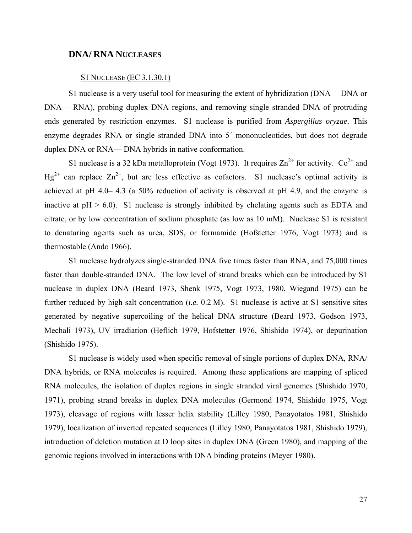### **DNA/ RNA NUCLEASES**

### S1 NUCLEASE (EC 3.1.30.1)

S1 nuclease is a very useful tool for measuring the extent of hybridization (DNA— DNA or DNA— RNA), probing duplex DNA regions, and removing single stranded DNA of protruding ends generated by restriction enzymes. S1 nuclease is purified from *Aspergillus oryzae*. This enzyme degrades RNA or single stranded DNA into 5´ mononucleotides, but does not degrade duplex DNA or RNA— DNA hybrids in native conformation.

S1 nuclease is a 32 kDa metalloprotein (Vogt 1973). It requires  $\text{Zn}^{2+}$  for activity.  $\text{Co}^{2+}$  and  $Hg^{2+}$  can replace  $Zn^{2+}$ , but are less effective as cofactors. S1 nuclease's optimal activity is achieved at pH 4.0– 4.3 (a 50% reduction of activity is observed at pH 4.9, and the enzyme is inactive at  $pH > 6.0$ . S1 nuclease is strongly inhibited by chelating agents such as EDTA and citrate, or by low concentration of sodium phosphate (as low as 10 mM). Nuclease S1 is resistant to denaturing agents such as urea, SDS, or formamide (Hofstetter 1976, Vogt 1973) and is thermostable (Ando 1966).

S1 nuclease hydrolyzes single-stranded DNA five times faster than RNA, and 75,000 times faster than double-stranded DNA. The low level of strand breaks which can be introduced by S1 nuclease in duplex DNA (Beard 1973, Shenk 1975, Vogt 1973, 1980, Wiegand 1975) can be further reduced by high salt concentration (*i.e.* 0.2 M). S1 nuclease is active at S1 sensitive sites generated by negative supercoiling of the helical DNA structure (Beard 1973, Godson 1973, Mechali 1973), UV irradiation (Heflich 1979, Hofstetter 1976, Shishido 1974), or depurination (Shishido 1975).

S1 nuclease is widely used when specific removal of single portions of duplex DNA, RNA/ DNA hybrids, or RNA molecules is required. Among these applications are mapping of spliced RNA molecules, the isolation of duplex regions in single stranded viral genomes (Shishido 1970, 1971), probing strand breaks in duplex DNA molecules (Germond 1974, Shishido 1975, Vogt 1973), cleavage of regions with lesser helix stability (Lilley 1980, Panayotatos 1981, Shishido 1979), localization of inverted repeated sequences (Lilley 1980, Panayotatos 1981, Shishido 1979), introduction of deletion mutation at D loop sites in duplex DNA (Green 1980), and mapping of the genomic regions involved in interactions with DNA binding proteins (Meyer 1980).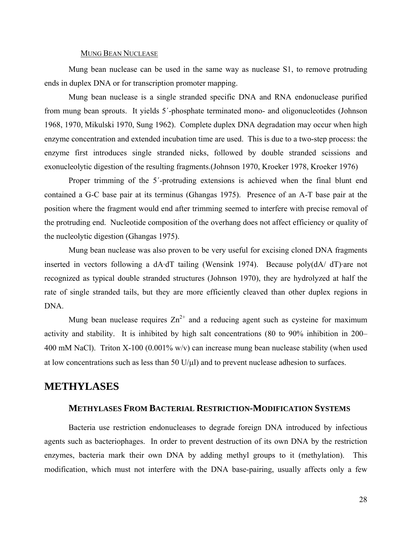#### MUNG BEAN NUCLEASE

Mung bean nuclease can be used in the same way as nuclease S1, to remove protruding ends in duplex DNA or for transcription promoter mapping.

Mung bean nuclease is a single stranded specific DNA and RNA endonuclease purified from mung bean sprouts. It yields 5´-phosphate terminated mono- and oligonucleotides (Johnson 1968, 1970, Mikulski 1970, Sung 1962). Complete duplex DNA degradation may occur when high enzyme concentration and extended incubation time are used. This is due to a two-step process: the enzyme first introduces single stranded nicks, followed by double stranded scissions and exonucleolytic digestion of the resulting fragments.(Johnson 1970, Kroeker 1978, Kroeker 1976)

Proper trimming of the 5´-protruding extensions is achieved when the final blunt end contained a G-C base pair at its terminus (Ghangas 1975). Presence of an A-T base pair at the position where the fragment would end after trimming seemed to interfere with precise removal of the protruding end. Nucleotide composition of the overhang does not affect efficiency or quality of the nucleolytic digestion (Ghangas 1975).

Mung bean nuclease was also proven to be very useful for excising cloned DNA fragments inserted in vectors following a dA·dT tailing (Wensink 1974). Because poly(dA/ dT)·are not recognized as typical double stranded structures (Johnson 1970), they are hydrolyzed at half the rate of single stranded tails, but they are more efficiently cleaved than other duplex regions in DNA.

Mung bean nuclease requires  $Zn^{2+}$  and a reducing agent such as cysteine for maximum activity and stability. It is inhibited by high salt concentrations (80 to 90% inhibition in 200– 400 mM NaCl). Triton X-100 (0.001% w/v) can increase mung bean nuclease stability (when used at low concentrations such as less than 50  $U/\mu$ ) and to prevent nuclease adhesion to surfaces.

# **METHYLASES**

# **METHYLASES FROM BACTERIAL RESTRICTION-MODIFICATION SYSTEMS**

Bacteria use restriction endonucleases to degrade foreign DNA introduced by infectious agents such as bacteriophages. In order to prevent destruction of its own DNA by the restriction enzymes, bacteria mark their own DNA by adding methyl groups to it (methylation). This modification, which must not interfere with the DNA base-pairing, usually affects only a few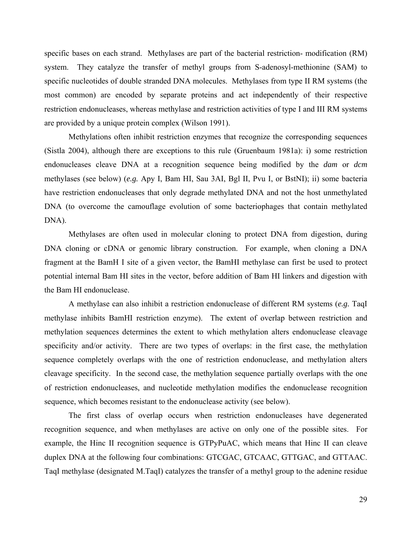specific bases on each strand. Methylases are part of the bacterial restriction- modification (RM) system. They catalyze the transfer of methyl groups from S-adenosyl-methionine (SAM) to specific nucleotides of double stranded DNA molecules. Methylases from type II RM systems (the most common) are encoded by separate proteins and act independently of their respective restriction endonucleases, whereas methylase and restriction activities of type I and III RM systems are provided by a unique protein complex (Wilson 1991).

Methylations often inhibit restriction enzymes that recognize the corresponding sequences (Sistla 2004), although there are exceptions to this rule (Gruenbaum 1981a): i) some restriction endonucleases cleave DNA at a recognition sequence being modified by the *dam* or *dcm* methylases (see below) (*e.g.* Apy I, Bam HI, Sau 3AI, Bgl II, Pvu I, or BstNI); ii) some bacteria have restriction endonucleases that only degrade methylated DNA and not the host unmethylated DNA (to overcome the camouflage evolution of some bacteriophages that contain methylated DNA).

Methylases are often used in molecular cloning to protect DNA from digestion, during DNA cloning or cDNA or genomic library construction. For example, when cloning a DNA fragment at the BamH I site of a given vector, the BamHI methylase can first be used to protect potential internal Bam HI sites in the vector, before addition of Bam HI linkers and digestion with the Bam HI endonuclease.

A methylase can also inhibit a restriction endonuclease of different RM systems (*e.g.* TaqI methylase inhibits BamHI restriction enzyme). The extent of overlap between restriction and methylation sequences determines the extent to which methylation alters endonuclease cleavage specificity and/or activity. There are two types of overlaps: in the first case, the methylation sequence completely overlaps with the one of restriction endonuclease, and methylation alters cleavage specificity. In the second case, the methylation sequence partially overlaps with the one of restriction endonucleases, and nucleotide methylation modifies the endonuclease recognition sequence, which becomes resistant to the endonuclease activity (see below).

The first class of overlap occurs when restriction endonucleases have degenerated recognition sequence, and when methylases are active on only one of the possible sites. For example, the Hinc II recognition sequence is GTPyPuAC, which means that Hinc II can cleave duplex DNA at the following four combinations: GTCGAC, GTCAAC, GTTGAC, and GTTAAC. TaqI methylase (designated M.TaqI) catalyzes the transfer of a methyl group to the adenine residue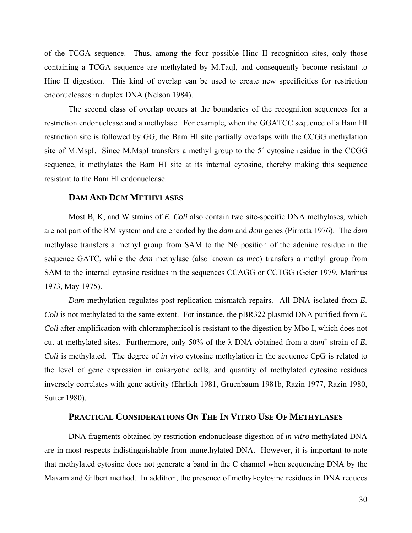of the TCGA sequence. Thus, among the four possible Hinc II recognition sites, only those containing a TCGA sequence are methylated by M.TaqI, and consequently become resistant to Hinc II digestion. This kind of overlap can be used to create new specificities for restriction endonucleases in duplex DNA (Nelson 1984).

The second class of overlap occurs at the boundaries of the recognition sequences for a restriction endonuclease and a methylase. For example, when the GGATCC sequence of a Bam HI restriction site is followed by GG, the Bam HI site partially overlaps with the CCGG methylation site of M.MspI. Since M.MspI transfers a methyl group to the 5´ cytosine residue in the CCGG sequence, it methylates the Bam HI site at its internal cytosine, thereby making this sequence resistant to the Bam HI endonuclease.

# **DAM AND DCM METHYLASES**

Most B, K, and W strains of *E. Coli* also contain two site-specific DNA methylases, which are not part of the RM system and are encoded by the *dam* and *dcm* genes (Pirrotta 1976). The *dam* methylase transfers a methyl group from SAM to the N6 position of the adenine residue in the sequence GATC, while the *dcm* methylase (also known as *mec*) transfers a methyl group from SAM to the internal cytosine residues in the sequences CCAGG or CCTGG (Geier 1979, Marinus 1973, May 1975).

*Dam* methylation regulates post-replication mismatch repairs. All DNA isolated from *E. Coli* is not methylated to the same extent. For instance, the pBR322 plasmid DNA purified from *E. Coli* after amplification with chloramphenicol is resistant to the digestion by Mbo I, which does not cut at methylated sites. Furthermore, only 50% of the  $\lambda$  DNA obtained from a  $dam^+$  strain of *E*. *Coli* is methylated. The degree of *in vivo* cytosine methylation in the sequence CpG is related to the level of gene expression in eukaryotic cells, and quantity of methylated cytosine residues inversely correlates with gene activity (Ehrlich 1981, Gruenbaum 1981b, Razin 1977, Razin 1980, Sutter 1980).

## **PRACTICAL CONSIDERATIONS ON THE IN VITRO USE OF METHYLASES**

DNA fragments obtained by restriction endonuclease digestion of *in vitro* methylated DNA are in most respects indistinguishable from unmethylated DNA. However, it is important to note that methylated cytosine does not generate a band in the C channel when sequencing DNA by the Maxam and Gilbert method. In addition, the presence of methyl-cytosine residues in DNA reduces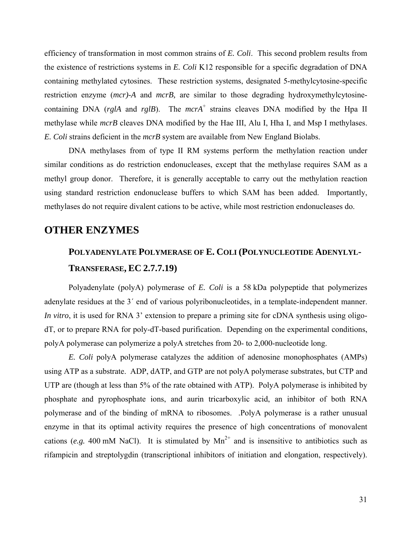efficiency of transformation in most common strains of *E. Coli*. This second problem results from the existence of restrictions systems in *E. Coli* K12 responsible for a specific degradation of DNA containing methylated cytosines. These restriction systems, designated 5-methylcytosine-specific restriction enzyme (*mcr)-A* and *mcrB,* are similar to those degrading hydroxymethylcytosinecontaining DNA ( $rglA$  and  $rglB$ ). The  $mcrA^+$  strains cleaves DNA modified by the Hpa II methylase while *mcrB* cleaves DNA modified by the Hae III, Alu I, Hha I, and Msp I methylases. *E. Coli* strains deficient in the *mcrB* system are available from New England Biolabs.

DNA methylases from of type II RM systems perform the methylation reaction under similar conditions as do restriction endonucleases, except that the methylase requires SAM as a methyl group donor. Therefore, it is generally acceptable to carry out the methylation reaction using standard restriction endonuclease buffers to which SAM has been added. Importantly, methylases do not require divalent cations to be active, while most restriction endonucleases do.

# **OTHER ENZYMES**

# **POLYADENYLATE POLYMERASE OF E. COLI (POLYNUCLEOTIDE ADENYLYL-TRANSFERASE, EC 2.7.7.19)**

Polyadenylate (polyA) polymerase of *E. Coli* is a 58 kDa polypeptide that polymerizes adenylate residues at the 3´ end of various polyribonucleotides, in a template-independent manner. *In vitro*, it is used for RNA 3' extension to prepare a priming site for cDNA synthesis using oligodT, or to prepare RNA for poly-dT-based purification. Depending on the experimental conditions, polyA polymerase can polymerize a polyA stretches from 20- to 2,000-nucleotide long.

*E. Coli* polyA polymerase catalyzes the addition of adenosine monophosphates (AMPs) using ATP as a substrate. ADP, dATP, and GTP are not polyA polymerase substrates, but CTP and UTP are (though at less than 5% of the rate obtained with ATP). PolyA polymerase is inhibited by phosphate and pyrophosphate ions, and aurin tricarboxylic acid, an inhibitor of both RNA polymerase and of the binding of mRNA to ribosomes. .PolyA polymerase is a rather unusual enzyme in that its optimal activity requires the presence of high concentrations of monovalent cations (*e.g.* 400 mM NaCl). It is stimulated by  $Mn^{2+}$  and is insensitive to antibiotics such as rifampicin and streptolygdin (transcriptional inhibitors of initiation and elongation, respectively).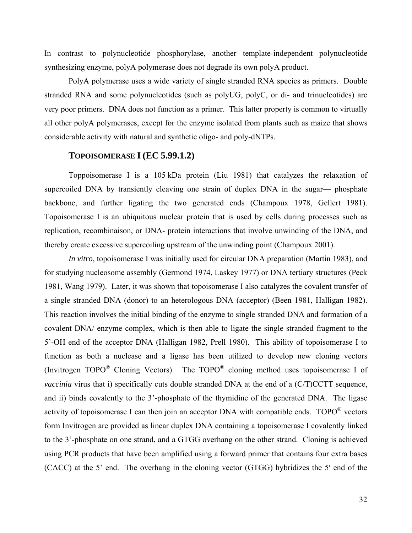In contrast to polynucleotide phosphorylase, another template-independent polynucleotide synthesizing enzyme, polyA polymerase does not degrade its own polyA product.

PolyA polymerase uses a wide variety of single stranded RNA species as primers. Double stranded RNA and some polynucleotides (such as polyUG, polyC, or di- and trinucleotides) are very poor primers. DNA does not function as a primer. This latter property is common to virtually all other polyA polymerases, except for the enzyme isolated from plants such as maize that shows considerable activity with natural and synthetic oligo- and poly-dNTPs.

# **TOPOISOMERASE I (EC 5.99.1.2)**

Toppoisomerase I is a 105 kDa protein (Liu 1981) that catalyzes the relaxation of supercoiled DNA by transiently cleaving one strain of duplex DNA in the sugar— phosphate backbone, and further ligating the two generated ends (Champoux 1978, Gellert 1981). Topoisomerase I is an ubiquitous nuclear protein that is used by cells during processes such as replication, recombinaison, or DNA- protein interactions that involve unwinding of the DNA, and thereby create excessive supercoiling upstream of the unwinding point (Champoux 2001).

*In vitro*, topoisomerase I was initially used for circular DNA preparation (Martin 1983), and for studying nucleosome assembly (Germond 1974, Laskey 1977) or DNA tertiary structures (Peck 1981, Wang 1979). Later, it was shown that topoisomerase I also catalyzes the covalent transfer of a single stranded DNA (donor) to an heterologous DNA (acceptor) (Been 1981, Halligan 1982). This reaction involves the initial binding of the enzyme to single stranded DNA and formation of a covalent DNA/ enzyme complex, which is then able to ligate the single stranded fragment to the 5'-OH end of the acceptor DNA (Halligan 1982, Prell 1980). This ability of topoisomerase I to function as both a nuclease and a ligase has been utilized to develop new cloning vectors (Invitrogen TOPO® Cloning Vectors). The TOPO® cloning method uses topoisomerase I of *vaccinia* virus that i) specifically cuts double stranded DNA at the end of a (C/T)CCTT sequence, and ii) binds covalently to the 3'-phosphate of the thymidine of the generated DNA. The ligase activity of topoisomerase I can then join an acceptor DNA with compatible ends. TOPO<sup>®</sup> vectors form Invitrogen are provided as linear duplex DNA containing a topoisomerase I covalently linked to the 3'-phosphate on one strand, and a GTGG overhang on the other strand. Cloning is achieved using PCR products that have been amplified using a forward primer that contains four extra bases (CACC) at the 5' end. The overhang in the cloning vector (GTGG) hybridizes the 5′ end of the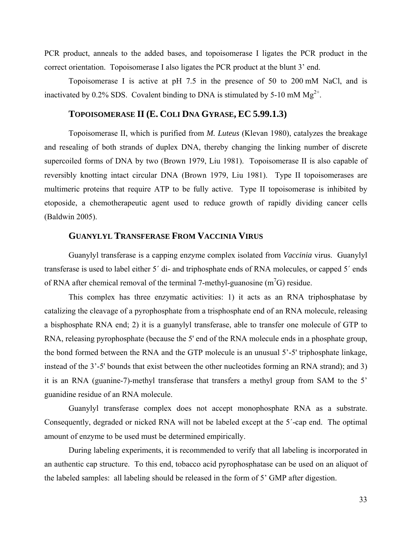PCR product, anneals to the added bases, and topoisomerase I ligates the PCR product in the correct orientation. Topoisomerase I also ligates the PCR product at the blunt 3' end.

Topoisomerase I is active at pH 7.5 in the presence of 50 to 200 mM NaCl, and is inactivated by 0.2% SDS. Covalent binding to DNA is stimulated by 5-10 mM  $Mg^{2+}$ .

### **TOPOISOMERASE II (E. COLI DNA GYRASE, EC 5.99.1.3)**

Topoisomerase II, which is purified from *M. Luteus* (Klevan 1980), catalyzes the breakage and resealing of both strands of duplex DNA, thereby changing the linking number of discrete supercoiled forms of DNA by two (Brown 1979, Liu 1981). Topoisomerase II is also capable of reversibly knotting intact circular DNA (Brown 1979, Liu 1981). Type II topoisomerases are multimeric proteins that require ATP to be fully active. Type II topoisomerase is inhibited by etoposide, a chemotherapeutic agent used to reduce growth of rapidly dividing cancer cells (Baldwin 2005).

### **GUANYLYL TRANSFERASE FROM VACCINIA VIRUS**

Guanylyl transferase is a capping enzyme complex isolated from *Vaccinia* virus. Guanylyl transferase is used to label either 5´ di- and triphosphate ends of RNA molecules, or capped 5´ ends of RNA after chemical removal of the terminal 7-methyl-guanosine  $(m<sup>7</sup>G)$  residue.

This complex has three enzymatic activities: 1) it acts as an RNA triphosphatase by catalizing the cleavage of a pyrophosphate from a trisphosphate end of an RNA molecule, releasing a bisphosphate RNA end; 2) it is a guanylyl transferase, able to transfer one molecule of GTP to RNA, releasing pyrophosphate (because the 5' end of the RNA molecule ends in a phosphate group, the bond formed between the RNA and the GTP molecule is an unusual 5'-5' triphosphate linkage, instead of the 3'-5' bounds that exist between the other nucleotides forming an RNA strand); and 3) it is an RNA (guanine-7)-methyl transferase that transfers a methyl group from SAM to the 5' guanidine residue of an RNA molecule.

Guanylyl transferase complex does not accept monophosphate RNA as a substrate. Consequently, degraded or nicked RNA will not be labeled except at the 5´-cap end. The optimal amount of enzyme to be used must be determined empirically.

During labeling experiments, it is recommended to verify that all labeling is incorporated in an authentic cap structure. To this end, tobacco acid pyrophosphatase can be used on an aliquot of the labeled samples: all labeling should be released in the form of 5' GMP after digestion.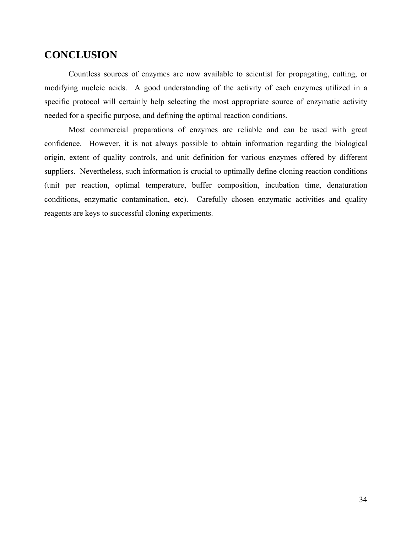# **CONCLUSION**

Countless sources of enzymes are now available to scientist for propagating, cutting, or modifying nucleic acids. A good understanding of the activity of each enzymes utilized in a specific protocol will certainly help selecting the most appropriate source of enzymatic activity needed for a specific purpose, and defining the optimal reaction conditions.

Most commercial preparations of enzymes are reliable and can be used with great confidence. However, it is not always possible to obtain information regarding the biological origin, extent of quality controls, and unit definition for various enzymes offered by different suppliers. Nevertheless, such information is crucial to optimally define cloning reaction conditions (unit per reaction, optimal temperature, buffer composition, incubation time, denaturation conditions, enzymatic contamination, etc). Carefully chosen enzymatic activities and quality reagents are keys to successful cloning experiments.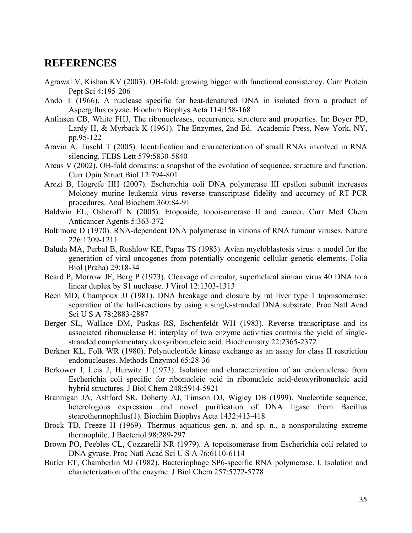# **REFERENCES**

- Agrawal V, Kishan KV (2003). OB-fold: growing bigger with functional consistency. Curr Protein Pept Sci 4:195-206
- Ando T (1966). A nuclease specific for heat-denatured DNA in isolated from a product of Aspergillus oryzae. Biochim Biophys Acta 114:158-168
- Anfinsen CB, White FHJ, The ribonucleases, occurrence, structure and properties. In: Boyer PD, Lardy H, & Myrback K (1961). The Enzymes, 2nd Ed. Academic Press, New-York, NY, pp.95-122
- Aravin A, Tuschl T (2005). Identification and characterization of small RNAs involved in RNA silencing. FEBS Lett 579:5830-5840
- Arcus V (2002). OB-fold domains: a snapshot of the evolution of sequence, structure and function. Curr Opin Struct Biol 12:794-801
- Arezi B, Hogrefe HH (2007). Escherichia coli DNA polymerase III epsilon subunit increases Moloney murine leukemia virus reverse transcriptase fidelity and accuracy of RT-PCR procedures. Anal Biochem 360:84-91
- Baldwin EL, Osheroff N (2005). Etoposide, topoisomerase II and cancer. Curr Med Chem Anticancer Agents 5:363-372
- Baltimore D (1970). RNA-dependent DNA polymerase in virions of RNA tumour viruses. Nature 226:1209-1211
- Baluda MA, Perbal B, Rushlow KE, Papas TS (1983). Avian myeloblastosis virus: a model for the generation of viral oncogenes from potentially oncogenic cellular genetic elements. Folia Biol (Praha) 29:18-34
- Beard P, Morrow JF, Berg P (1973). Cleavage of circular, superhelical simian virus 40 DNA to a linear duplex by S1 nuclease. J Virol 12:1303-1313
- Been MD, Champoux JJ (1981). DNA breakage and closure by rat liver type 1 topoisomerase: separation of the half-reactions by using a single-stranded DNA substrate. Proc Natl Acad Sci U S A 78:2883-2887
- Berger SL, Wallace DM, Puskas RS, Eschenfeldt WH (1983). Reverse transcriptase and its associated ribonuclease H: interplay of two enzyme activities controls the yield of singlestranded complementary deoxyribonucleic acid. Biochemistry 22:2365-2372
- Berkner KL, Folk WR (1980). Polynucleotide kinase exchange as an assay for class II restriction endonucleases. Methods Enzymol 65:28-36
- Berkower I, Leis J, Hurwitz J (1973). Isolation and characterization of an endonuclease from Escherichia coli specific for ribonucleic acid in ribonucleic acid-deoxyribonucleic acid hybrid structures. J Biol Chem 248:5914-5921
- Brannigan JA, Ashford SR, Doherty AJ, Timson DJ, Wigley DB (1999). Nucleotide sequence, heterologous expression and novel purification of DNA ligase from Bacillus stearothermophilus(1). Biochim Biophys Acta 1432:413-418
- Brock TD, Freeze H (1969). Thermus aquaticus gen. n. and sp. n., a nonsporulating extreme thermophile. J Bacteriol 98:289-297
- Brown PO, Peebles CL, Cozzarelli NR (1979). A topoisomerase from Escherichia coli related to DNA gyrase. Proc Natl Acad Sci U S A 76:6110-6114
- Butler ET, Chamberlin MJ (1982). Bacteriophage SP6-specific RNA polymerase. I. Isolation and characterization of the enzyme. J Biol Chem 257:5772-5778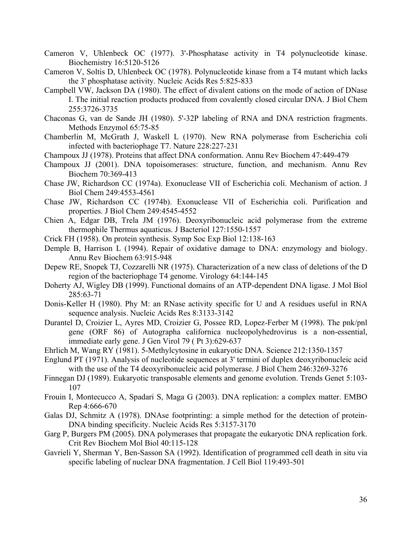- Cameron V, Uhlenbeck OC (1977). 3'-Phosphatase activity in T4 polynucleotide kinase. Biochemistry 16:5120-5126
- Cameron V, Soltis D, Uhlenbeck OC (1978). Polynucleotide kinase from a T4 mutant which lacks the 3' phosphatase activity. Nucleic Acids Res 5:825-833
- Campbell VW, Jackson DA (1980). The effect of divalent cations on the mode of action of DNase I. The initial reaction products produced from covalently closed circular DNA. J Biol Chem 255:3726-3735
- Chaconas G, van de Sande JH (1980). 5'-32P labeling of RNA and DNA restriction fragments. Methods Enzymol 65:75-85
- Chamberlin M, McGrath J, Waskell L (1970). New RNA polymerase from Escherichia coli infected with bacteriophage T7. Nature 228:227-231
- Champoux JJ (1978). Proteins that affect DNA conformation. Annu Rev Biochem 47:449-479
- Champoux JJ (2001). DNA topoisomerases: structure, function, and mechanism. Annu Rev Biochem 70:369-413
- Chase JW, Richardson CC (1974a). Exonuclease VII of Escherichia coli. Mechanism of action. J Biol Chem 249:4553-4561
- Chase JW, Richardson CC (1974b). Exonuclease VII of Escherichia coli. Purification and properties. J Biol Chem 249:4545-4552
- Chien A, Edgar DB, Trela JM (1976). Deoxyribonucleic acid polymerase from the extreme thermophile Thermus aquaticus. J Bacteriol 127:1550-1557
- Crick FH (1958). On protein synthesis. Symp Soc Exp Biol 12:138-163
- Demple B, Harrison L (1994). Repair of oxidative damage to DNA: enzymology and biology. Annu Rev Biochem 63:915-948
- Depew RE, Snopek TJ, Cozzarelli NR (1975). Characterization of a new class of deletions of the D region of the bacteriophage T4 genome. Virology 64:144-145
- Doherty AJ, Wigley DB (1999). Functional domains of an ATP-dependent DNA ligase. J Mol Biol 285:63-71
- Donis-Keller H (1980). Phy M: an RNase activity specific for U and A residues useful in RNA sequence analysis. Nucleic Acids Res 8:3133-3142
- Durantel D, Croizier L, Ayres MD, Croizier G, Possee RD, Lopez-Ferber M (1998). The pnk/pnl gene (ORF 86) of Autographa californica nucleopolyhedrovirus is a non-essential, immediate early gene. J Gen Virol 79 ( Pt 3):629-637
- Ehrlich M, Wang RY (1981). 5-Methylcytosine in eukaryotic DNA. Science 212:1350-1357
- Englund PT (1971). Analysis of nucleotide sequences at 3' termini of duplex deoxyribonucleic acid with the use of the T4 deoxyribonucleic acid polymerase. J Biol Chem 246:3269-3276
- Finnegan DJ (1989). Eukaryotic transposable elements and genome evolution. Trends Genet 5:103- 107
- Frouin I, Montecucco A, Spadari S, Maga G (2003). DNA replication: a complex matter. EMBO Rep 4:666-670
- Galas DJ, Schmitz A (1978). DNAse footprinting: a simple method for the detection of protein-DNA binding specificity. Nucleic Acids Res 5:3157-3170
- Garg P, Burgers PM (2005). DNA polymerases that propagate the eukaryotic DNA replication fork. Crit Rev Biochem Mol Biol 40:115-128
- Gavrieli Y, Sherman Y, Ben-Sasson SA (1992). Identification of programmed cell death in situ via specific labeling of nuclear DNA fragmentation. J Cell Biol 119:493-501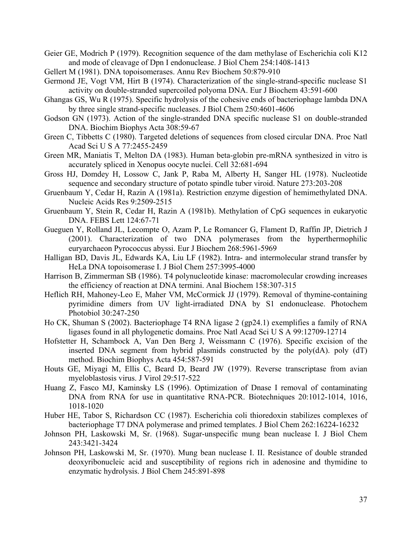Geier GE, Modrich P (1979). Recognition sequence of the dam methylase of Escherichia coli K12 and mode of cleavage of Dpn I endonuclease. J Biol Chem 254:1408-1413

Gellert M (1981). DNA topoisomerases. Annu Rev Biochem 50:879-910

Germond JE, Vogt VM, Hirt B (1974). Characterization of the single-strand-specific nuclease S1 activity on double-stranded supercoiled polyoma DNA. Eur J Biochem 43:591-600

- Ghangas GS, Wu R (1975). Specific hydrolysis of the cohesive ends of bacteriophage lambda DNA by three single strand-specific nucleases. J Biol Chem 250:4601-4606
- Godson GN (1973). Action of the single-stranded DNA specific nuclease S1 on double-stranded DNA. Biochim Biophys Acta 308:59-67
- Green C, Tibbetts C (1980). Targeted deletions of sequences from closed circular DNA. Proc Natl Acad Sci U S A 77:2455-2459
- Green MR, Maniatis T, Melton DA (1983). Human beta-globin pre-mRNA synthesized in vitro is accurately spliced in Xenopus oocyte nuclei. Cell 32:681-694
- Gross HJ, Domdey H, Lossow C, Jank P, Raba M, Alberty H, Sanger HL (1978). Nucleotide sequence and secondary structure of potato spindle tuber viroid. Nature 273:203-208
- Gruenbaum Y, Cedar H, Razin A (1981a). Restriction enzyme digestion of hemimethylated DNA. Nucleic Acids Res 9:2509-2515
- Gruenbaum Y, Stein R, Cedar H, Razin A (1981b). Methylation of CpG sequences in eukaryotic DNA. FEBS Lett 124:67-71
- Gueguen Y, Rolland JL, Lecompte O, Azam P, Le Romancer G, Flament D, Raffin JP, Dietrich J (2001). Characterization of two DNA polymerases from the hyperthermophilic euryarchaeon Pyrococcus abyssi. Eur J Biochem 268:5961-5969
- Halligan BD, Davis JL, Edwards KA, Liu LF (1982). Intra- and intermolecular strand transfer by HeLa DNA topoisomerase I. J Biol Chem 257:3995-4000
- Harrison B, Zimmerman SB (1986). T4 polynucleotide kinase: macromolecular crowding increases the efficiency of reaction at DNA termini. Anal Biochem 158:307-315
- Heflich RH, Mahoney-Leo E, Maher VM, McCormick JJ (1979). Removal of thymine-containing pyrimidine dimers from UV light-irradiated DNA by S1 endonuclease. Photochem Photobiol 30:247-250
- Ho CK, Shuman S (2002). Bacteriophage T4 RNA ligase 2 (gp24.1) exemplifies a family of RNA ligases found in all phylogenetic domains. Proc Natl Acad Sci U S A 99:12709-12714
- Hofstetter H, Schambock A, Van Den Berg J, Weissmann C (1976). Specific excision of the inserted DNA segment from hybrid plasmids constructed by the poly(dA). poly (dT) method. Biochim Biophys Acta 454:587-591
- Houts GE, Miyagi M, Ellis C, Beard D, Beard JW (1979). Reverse transcriptase from avian myeloblastosis virus. J Virol 29:517-522
- Huang Z, Fasco MJ, Kaminsky LS (1996). Optimization of Dnase I removal of contaminating DNA from RNA for use in quantitative RNA-PCR. Biotechniques 20:1012-1014, 1016, 1018-1020
- Huber HE, Tabor S, Richardson CC (1987). Escherichia coli thioredoxin stabilizes complexes of bacteriophage T7 DNA polymerase and primed templates. J Biol Chem 262:16224-16232
- Johnson PH, Laskowski M, Sr. (1968). Sugar-unspecific mung bean nuclease I. J Biol Chem 243:3421-3424
- Johnson PH, Laskowski M, Sr. (1970). Mung bean nuclease I. II. Resistance of double stranded deoxyribonucleic acid and susceptibility of regions rich in adenosine and thymidine to enzymatic hydrolysis. J Biol Chem 245:891-898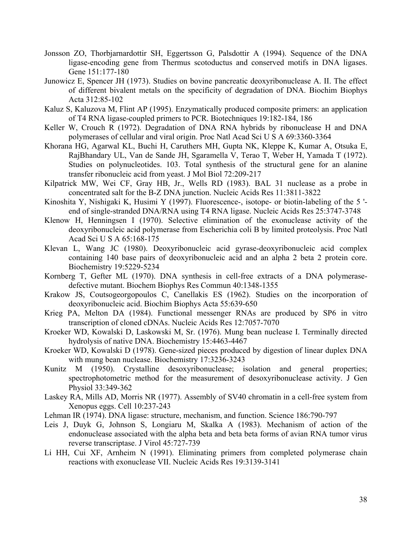- Jonsson ZO, Thorbjarnardottir SH, Eggertsson G, Palsdottir A (1994). Sequence of the DNA ligase-encoding gene from Thermus scotoductus and conserved motifs in DNA ligases. Gene 151:177-180
- Junowicz E, Spencer JH (1973). Studies on bovine pancreatic deoxyribonuclease A. II. The effect of different bivalent metals on the specificity of degradation of DNA. Biochim Biophys Acta 312:85-102
- Kaluz S, Kaluzova M, Flint AP (1995). Enzymatically produced composite primers: an application of T4 RNA ligase-coupled primers to PCR. Biotechniques 19:182-184, 186
- Keller W, Crouch R (1972). Degradation of DNA RNA hybrids by ribonuclease H and DNA polymerases of cellular and viral origin. Proc Natl Acad Sci U S A 69:3360-3364
- Khorana HG, Agarwal KL, Buchi H, Caruthers MH, Gupta NK, Kleppe K, Kumar A, Otsuka E, RajBhandary UL, Van de Sande JH, Sgaramella V, Terao T, Weber H, Yamada T (1972). Studies on polynucleotides. 103. Total synthesis of the structural gene for an alanine transfer ribonucleic acid from yeast. J Mol Biol 72:209-217
- Kilpatrick MW, Wei CF, Gray HB, Jr., Wells RD (1983). BAL 31 nuclease as a probe in concentrated salt for the B-Z DNA junction. Nucleic Acids Res 11:3811-3822
- Kinoshita Y, Nishigaki K, Husimi Y (1997). Fluorescence-, isotope- or biotin-labeling of the 5 ' end of single-stranded DNA/RNA using T4 RNA ligase. Nucleic Acids Res 25:3747-3748
- Klenow H, Henningsen I (1970). Selective elimination of the exonuclease activity of the deoxyribonucleic acid polymerase from Escherichia coli B by limited proteolysis. Proc Natl Acad Sci U S A 65:168-175
- Klevan L, Wang JC (1980). Deoxyribonucleic acid gyrase-deoxyribonucleic acid complex containing 140 base pairs of deoxyribonucleic acid and an alpha 2 beta 2 protein core. Biochemistry 19:5229-5234
- Kornberg T, Gefter ML (1970). DNA synthesis in cell-free extracts of a DNA polymerasedefective mutant. Biochem Biophys Res Commun 40:1348-1355
- Krakow JS, Coutsogeorgopoulos C, Canellakis ES (1962). Studies on the incorporation of deoxyribonucleic acid. Biochim Biophys Acta 55:639-650
- Krieg PA, Melton DA (1984). Functional messenger RNAs are produced by SP6 in vitro transcription of cloned cDNAs. Nucleic Acids Res 12:7057-7070
- Kroeker WD, Kowalski D, Laskowski M, Sr. (1976). Mung bean nuclease I. Terminally directed hydrolysis of native DNA. Biochemistry 15:4463-4467
- Kroeker WD, Kowalski D (1978). Gene-sized pieces produced by digestion of linear duplex DNA with mung bean nuclease. Biochemistry 17:3236-3243
- Kunitz M (1950). Crystalline desoxyribonuclease; isolation and general properties; spectrophotometric method for the measurement of desoxyribonuclease activity. J Gen Physiol 33:349-362
- Laskey RA, Mills AD, Morris NR (1977). Assembly of SV40 chromatin in a cell-free system from Xenopus eggs. Cell 10:237-243
- Lehman IR (1974). DNA ligase: structure, mechanism, and function. Science 186:790-797
- Leis J, Duyk G, Johnson S, Longiaru M, Skalka A (1983). Mechanism of action of the endonuclease associated with the alpha beta and beta beta forms of avian RNA tumor virus reverse transcriptase. J Virol 45:727-739
- Li HH, Cui XF, Arnheim N (1991). Eliminating primers from completed polymerase chain reactions with exonuclease VII. Nucleic Acids Res 19:3139-3141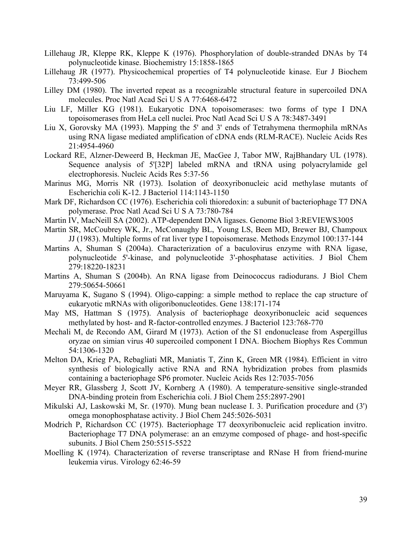- Lillehaug JR, Kleppe RK, Kleppe K (1976). Phosphorylation of double-stranded DNAs by T4 polynucleotide kinase. Biochemistry 15:1858-1865
- Lillehaug JR (1977). Physicochemical properties of T4 polynucleotide kinase. Eur J Biochem 73:499-506
- Lilley DM (1980). The inverted repeat as a recognizable structural feature in supercoiled DNA molecules. Proc Natl Acad Sci U S A 77:6468-6472
- Liu LF, Miller KG (1981). Eukaryotic DNA topoisomerases: two forms of type I DNA topoisomerases from HeLa cell nuclei. Proc Natl Acad Sci U S A 78:3487-3491
- Liu X, Gorovsky MA (1993). Mapping the 5' and 3' ends of Tetrahymena thermophila mRNAs using RNA ligase mediated amplification of cDNA ends (RLM-RACE). Nucleic Acids Res 21:4954-4960
- Lockard RE, Alzner-Deweerd B, Heckman JE, MacGee J, Tabor MW, RajBhandary UL (1978). Sequence analysis of 5'[32P] labeled mRNA and tRNA using polyacrylamide gel electrophoresis. Nucleic Acids Res 5:37-56
- Marinus MG, Morris NR (1973). Isolation of deoxyribonucleic acid methylase mutants of Escherichia coli K-12. J Bacteriol 114:1143-1150
- Mark DF, Richardson CC (1976). Escherichia coli thioredoxin: a subunit of bacteriophage T7 DNA polymerase. Proc Natl Acad Sci U S A 73:780-784
- Martin IV, MacNeill SA (2002). ATP-dependent DNA ligases. Genome Biol 3:REVIEWS3005
- Martin SR, McCoubrey WK, Jr., McConaughy BL, Young LS, Been MD, Brewer BJ, Champoux JJ (1983). Multiple forms of rat liver type I topoisomerase. Methods Enzymol 100:137-144
- Martins A, Shuman S (2004a). Characterization of a baculovirus enzyme with RNA ligase, polynucleotide 5'-kinase, and polynucleotide 3'-phosphatase activities. J Biol Chem 279:18220-18231
- Martins A, Shuman S (2004b). An RNA ligase from Deinococcus radiodurans. J Biol Chem 279:50654-50661
- Maruyama K, Sugano S (1994). Oligo-capping: a simple method to replace the cap structure of eukaryotic mRNAs with oligoribonucleotides. Gene 138:171-174
- May MS, Hattman S (1975). Analysis of bacteriophage deoxyribonucleic acid sequences methylated by host- and R-factor-controlled enzymes. J Bacteriol 123:768-770
- Mechali M, de Recondo AM, Girard M (1973). Action of the S1 endonuclease from Aspergillus oryzae on simian virus 40 supercoiled component I DNA. Biochem Biophys Res Commun 54:1306-1320
- Melton DA, Krieg PA, Rebagliati MR, Maniatis T, Zinn K, Green MR (1984). Efficient in vitro synthesis of biologically active RNA and RNA hybridization probes from plasmids containing a bacteriophage SP6 promoter. Nucleic Acids Res 12:7035-7056
- Meyer RR, Glassberg J, Scott JV, Kornberg A (1980). A temperature-sensitive single-stranded DNA-binding protein from Escherichia coli. J Biol Chem 255:2897-2901
- Mikulski AJ, Laskowski M, Sr. (1970). Mung bean nuclease I. 3. Purification procedure and (3') omega monophosphatase activity. J Biol Chem 245:5026-5031
- Modrich P, Richardson CC (1975). Bacteriophage T7 deoxyribonucleic acid replication invitro. Bacteriophage T7 DNA polymerase: an an emzyme composed of phage- and host-specific subunits. J Biol Chem 250:5515-5522
- Moelling K (1974). Characterization of reverse transcriptase and RNase H from friend-murine leukemia virus. Virology 62:46-59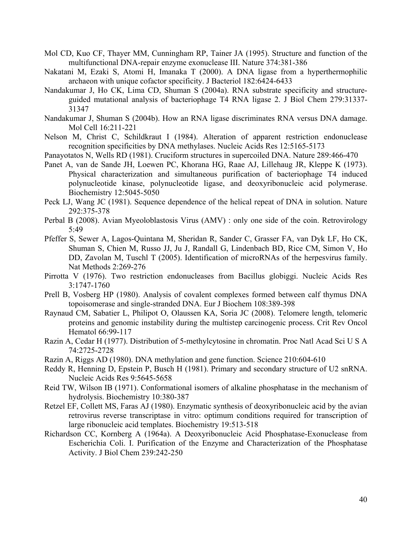- Mol CD, Kuo CF, Thayer MM, Cunningham RP, Tainer JA (1995). Structure and function of the multifunctional DNA-repair enzyme exonuclease III. Nature 374:381-386
- Nakatani M, Ezaki S, Atomi H, Imanaka T (2000). A DNA ligase from a hyperthermophilic archaeon with unique cofactor specificity. J Bacteriol 182:6424-6433
- Nandakumar J, Ho CK, Lima CD, Shuman S (2004a). RNA substrate specificity and structureguided mutational analysis of bacteriophage T4 RNA ligase 2. J Biol Chem 279:31337- 31347
- Nandakumar J, Shuman S (2004b). How an RNA ligase discriminates RNA versus DNA damage. Mol Cell 16:211-221
- Nelson M, Christ C, Schildkraut I (1984). Alteration of apparent restriction endonuclease recognition specificities by DNA methylases. Nucleic Acids Res 12:5165-5173
- Panayotatos N, Wells RD (1981). Cruciform structures in supercoiled DNA. Nature 289:466-470
- Panet A, van de Sande JH, Loewen PC, Khorana HG, Raae AJ, Lillehaug JR, Kleppe K (1973). Physical characterization and simultaneous purification of bacteriophage T4 induced polynucleotide kinase, polynucleotide ligase, and deoxyribonucleic acid polymerase. Biochemistry 12:5045-5050
- Peck LJ, Wang JC (1981). Sequence dependence of the helical repeat of DNA in solution. Nature 292:375-378
- Perbal B (2008). Avian Myeoloblastosis Virus (AMV) : only one side of the coin. Retrovirology 5:49
- Pfeffer S, Sewer A, Lagos-Quintana M, Sheridan R, Sander C, Grasser FA, van Dyk LF, Ho CK, Shuman S, Chien M, Russo JJ, Ju J, Randall G, Lindenbach BD, Rice CM, Simon V, Ho DD, Zavolan M, Tuschl T (2005). Identification of microRNAs of the herpesvirus family. Nat Methods 2:269-276
- Pirrotta V (1976). Two restriction endonucleases from Bacillus globiggi. Nucleic Acids Res 3:1747-1760
- Prell B, Vosberg HP (1980). Analysis of covalent complexes formed between calf thymus DNA topoisomerase and single-stranded DNA. Eur J Biochem 108:389-398
- Raynaud CM, Sabatier L, Philipot O, Olaussen KA, Soria JC (2008). Telomere length, telomeric proteins and genomic instability during the multistep carcinogenic process. Crit Rev Oncol Hematol 66:99-117
- Razin A, Cedar H (1977). Distribution of 5-methylcytosine in chromatin. Proc Natl Acad Sci U S A 74:2725-2728
- Razin A, Riggs AD (1980). DNA methylation and gene function. Science 210:604-610
- Reddy R, Henning D, Epstein P, Busch H (1981). Primary and secondary structure of U2 snRNA. Nucleic Acids Res 9:5645-5658
- Reid TW, Wilson IB (1971). Conformational isomers of alkaline phosphatase in the mechanism of hydrolysis. Biochemistry 10:380-387
- Retzel EF, Collett MS, Faras AJ (1980). Enzymatic synthesis of deoxyribonucleic acid by the avian retrovirus reverse transcriptase in vitro: optimum conditions required for transcription of large ribonucleic acid templates. Biochemistry 19:513-518
- Richardson CC, Kornberg A (1964a). A Deoxyribonucleic Acid Phosphatase-Exonuclease from Escherichia Coli. I. Purification of the Enzyme and Characterization of the Phosphatase Activity. J Biol Chem 239:242-250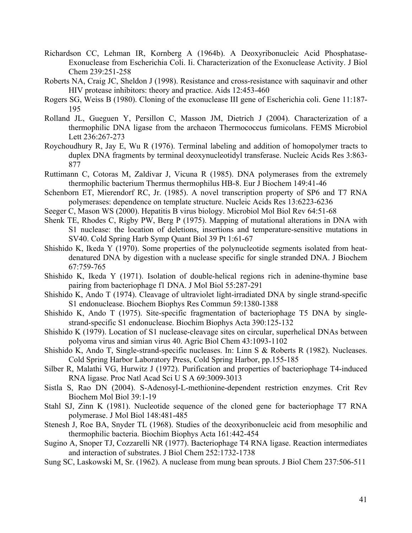- Richardson CC, Lehman IR, Kornberg A (1964b). A Deoxyribonucleic Acid Phosphatase-Exonuclease from Escherichia Coli. Ii. Characterization of the Exonuclease Activity. J Biol Chem 239:251-258
- Roberts NA, Craig JC, Sheldon J (1998). Resistance and cross-resistance with saquinavir and other HIV protease inhibitors: theory and practice. Aids 12:453-460
- Rogers SG, Weiss B (1980). Cloning of the exonuclease III gene of Escherichia coli. Gene 11:187- 195
- Rolland JL, Gueguen Y, Persillon C, Masson JM, Dietrich J (2004). Characterization of a thermophilic DNA ligase from the archaeon Thermococcus fumicolans. FEMS Microbiol Lett 236:267-273
- Roychoudhury R, Jay E, Wu R (1976). Terminal labeling and addition of homopolymer tracts to duplex DNA fragments by terminal deoxynucleotidyl transferase. Nucleic Acids Res 3:863- 877
- Ruttimann C, Cotoras M, Zaldivar J, Vicuna R (1985). DNA polymerases from the extremely thermophilic bacterium Thermus thermophilus HB-8. Eur J Biochem 149:41-46
- Schenborn ET, Mierendorf RC, Jr. (1985). A novel transcription property of SP6 and T7 RNA polymerases: dependence on template structure. Nucleic Acids Res 13:6223-6236
- Seeger C, Mason WS (2000). Hepatitis B virus biology. Microbiol Mol Biol Rev 64:51-68
- Shenk TE, Rhodes C, Rigby PW, Berg P (1975). Mapping of mutational alterations in DNA with S1 nuclease: the location of deletions, insertions and temperature-sensitive mutations in SV40. Cold Spring Harb Symp Quant Biol 39 Pt 1:61-67
- Shishido K, Ikeda Y (1970). Some properties of the polynucleotide segments isolated from heatdenatured DNA by digestion with a nuclease specific for single stranded DNA. J Biochem 67:759-765
- Shishido K, Ikeda Y (1971). Isolation of double-helical regions rich in adenine-thymine base pairing from bacteriophage f1 DNA. J Mol Biol 55:287-291
- Shishido K, Ando T (1974). Cleavage of ultraviolet light-irradiated DNA by single strand-specific S1 endonuclease. Biochem Biophys Res Commun 59:1380-1388
- Shishido K, Ando T (1975). Site-specific fragmentation of bacteriophage T5 DNA by singlestrand-specific S1 endonuclease. Biochim Biophys Acta 390:125-132
- Shishido K (1979). Location of S1 nuclease-cleavage sites on circular, superhelical DNAs between polyoma virus and simian virus 40. Agric Biol Chem 43:1093-1102
- Shishido K, Ando T, Single-strand-specific nucleases. In: Linn S & Roberts R (1982). Nucleases. Cold Spring Harbor Laboratory Press, Cold Spring Harbor, pp.155-185
- Silber R, Malathi VG, Hurwitz J (1972). Purification and properties of bacteriophage T4-induced RNA ligase. Proc Natl Acad Sci U S A 69:3009-3013
- Sistla S, Rao DN (2004). S-Adenosyl-L-methionine-dependent restriction enzymes. Crit Rev Biochem Mol Biol 39:1-19
- Stahl SJ, Zinn K (1981). Nucleotide sequence of the cloned gene for bacteriophage T7 RNA polymerase. J Mol Biol 148:481-485
- Stenesh J, Roe BA, Snyder TL (1968). Studies of the deoxyribonucleic acid from mesophilic and thermophilic bacteria. Biochim Biophys Acta 161:442-454
- Sugino A, Snoper TJ, Cozzarelli NR (1977). Bacteriophage T4 RNA ligase. Reaction intermediates and interaction of substrates. J Biol Chem 252:1732-1738
- Sung SC, Laskowski M, Sr. (1962). A nuclease from mung bean sprouts. J Biol Chem 237:506-511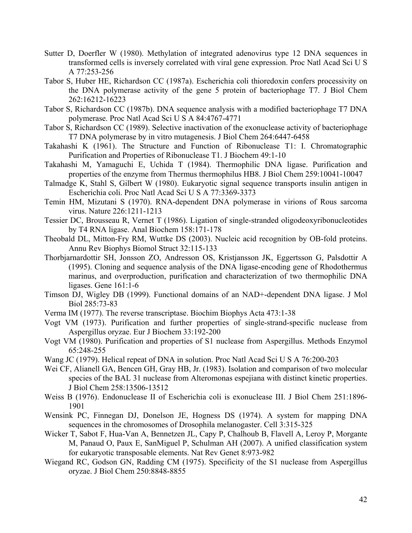- Sutter D, Doerfler W (1980). Methylation of integrated adenovirus type 12 DNA sequences in transformed cells is inversely correlated with viral gene expression. Proc Natl Acad Sci U S A 77:253-256
- Tabor S, Huber HE, Richardson CC (1987a). Escherichia coli thioredoxin confers processivity on the DNA polymerase activity of the gene 5 protein of bacteriophage T7. J Biol Chem 262:16212-16223
- Tabor S, Richardson CC (1987b). DNA sequence analysis with a modified bacteriophage T7 DNA polymerase. Proc Natl Acad Sci U S A 84:4767-4771
- Tabor S, Richardson CC (1989). Selective inactivation of the exonuclease activity of bacteriophage T7 DNA polymerase by in vitro mutagenesis. J Biol Chem 264:6447-6458
- Takahashi K (1961). The Structure and Function of Ribonuclease T1: I. Chromatographic Purification and Properties of Ribonuclease T1. J Biochem 49:1-10
- Takahashi M, Yamaguchi E, Uchida T (1984). Thermophilic DNA ligase. Purification and properties of the enzyme from Thermus thermophilus HB8. J Biol Chem 259:10041-10047
- Talmadge K, Stahl S, Gilbert W (1980). Eukaryotic signal sequence transports insulin antigen in Escherichia coli. Proc Natl Acad Sci U S A 77:3369-3373
- Temin HM, Mizutani S (1970). RNA-dependent DNA polymerase in virions of Rous sarcoma virus. Nature 226:1211-1213
- Tessier DC, Brousseau R, Vernet T (1986). Ligation of single-stranded oligodeoxyribonucleotides by T4 RNA ligase. Anal Biochem 158:171-178
- Theobald DL, Mitton-Fry RM, Wuttke DS (2003). Nucleic acid recognition by OB-fold proteins. Annu Rev Biophys Biomol Struct 32:115-133
- Thorbjarnardottir SH, Jonsson ZO, Andresson OS, Kristjansson JK, Eggertsson G, Palsdottir A (1995). Cloning and sequence analysis of the DNA ligase-encoding gene of Rhodothermus marinus, and overproduction, purification and characterization of two thermophilic DNA ligases. Gene 161:1-6
- Timson DJ, Wigley DB (1999). Functional domains of an NAD+-dependent DNA ligase. J Mol Biol 285:73-83
- Verma IM (1977). The reverse transcriptase. Biochim Biophys Acta 473:1-38
- Vogt VM (1973). Purification and further properties of single-strand-specific nuclease from Aspergillus oryzae. Eur J Biochem 33:192-200
- Vogt VM (1980). Purification and properties of S1 nuclease from Aspergillus. Methods Enzymol 65:248-255
- Wang JC (1979). Helical repeat of DNA in solution. Proc Natl Acad Sci U S A 76:200-203
- Wei CF, Alianell GA, Bencen GH, Gray HB, Jr. (1983). Isolation and comparison of two molecular species of the BAL 31 nuclease from Alteromonas espejiana with distinct kinetic properties. J Biol Chem 258:13506-13512
- Weiss B (1976). Endonuclease II of Escherichia coli is exonuclease III. J Biol Chem 251:1896- 1901
- Wensink PC, Finnegan DJ, Donelson JE, Hogness DS (1974). A system for mapping DNA sequences in the chromosomes of Drosophila melanogaster. Cell 3:315-325
- Wicker T, Sabot F, Hua-Van A, Bennetzen JL, Capy P, Chalhoub B, Flavell A, Leroy P, Morgante M, Panaud O, Paux E, SanMiguel P, Schulman AH (2007). A unified classification system for eukaryotic transposable elements. Nat Rev Genet 8:973-982
- Wiegand RC, Godson GN, Radding CM (1975). Specificity of the S1 nuclease from Aspergillus oryzae. J Biol Chem 250:8848-8855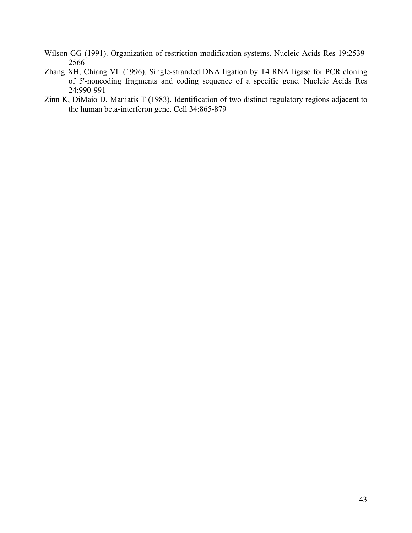- Wilson GG (1991). Organization of restriction-modification systems. Nucleic Acids Res 19:2539- 2566
- Zhang XH, Chiang VL (1996). Single-stranded DNA ligation by T4 RNA ligase for PCR cloning of 5'-noncoding fragments and coding sequence of a specific gene. Nucleic Acids Res 24:990-991
- Zinn K, DiMaio D, Maniatis T (1983). Identification of two distinct regulatory regions adjacent to the human beta-interferon gene. Cell 34:865-879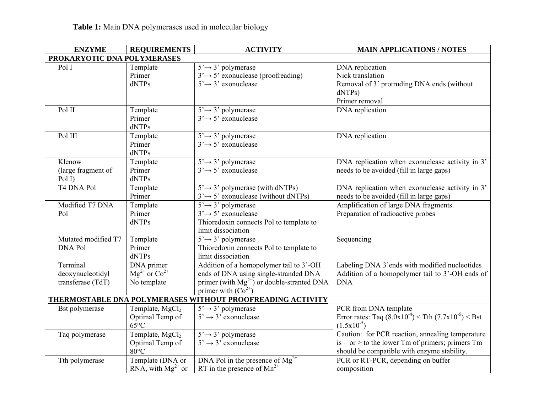| <b>ENZYME</b>               | <b>REQUIREMENTS</b>         | <b>ACTIVITY</b>                                            | <b>MAIN APPLICATIONS / NOTES</b>                             |  |  |
|-----------------------------|-----------------------------|------------------------------------------------------------|--------------------------------------------------------------|--|--|
| PROKARYOTIC DNA POLYMERASES |                             |                                                            |                                                              |  |  |
| Pol I                       | Template                    | $5' \rightarrow 3'$ polymerase                             | DNA replication                                              |  |  |
|                             | Primer                      | $3' \rightarrow 5'$ exonuclease (proofreading)             | Nick translation                                             |  |  |
|                             | dNTPs                       | $5' \rightarrow 3'$ exonuclease                            | Removal of 3' protruding DNA ends (without                   |  |  |
|                             |                             |                                                            | dNTPs)                                                       |  |  |
|                             |                             |                                                            | Primer removal                                               |  |  |
| Pol II                      | Template                    | $5' \rightarrow 3'$ polymerase                             | DNA replication                                              |  |  |
|                             | Primer                      | $3' \rightarrow 5'$ exonuclease                            |                                                              |  |  |
|                             | dNTPs                       |                                                            |                                                              |  |  |
| Pol III                     | Template                    | $5' \rightarrow 3'$ polymerase                             | DNA replication                                              |  |  |
|                             | Primer                      | $3' \rightarrow 5'$ exonuclease                            |                                                              |  |  |
|                             | dNTPs                       |                                                            |                                                              |  |  |
| Klenow                      | Template                    | $5' \rightarrow 3'$ polymerase                             | DNA replication when exonuclease activity in 3'              |  |  |
| (large fragment of          | Primer                      | $3' \rightarrow 5'$ exonuclease                            | needs to be avoided (fill in large gaps)                     |  |  |
| Pol I)                      | dNTPs                       |                                                            |                                                              |  |  |
| T4 DNA Pol                  | Template                    | $5' \rightarrow 3'$ polymerase (with dNTPs)                | DNA replication when exonuclease activity in 3'              |  |  |
|                             | Primer                      | $3' \rightarrow 5'$ exonuclease (without dNTPs)            | needs to be avoided (fill in large gaps)                     |  |  |
| Modified T7 DNA             | Template                    | $5' \rightarrow 3'$ polymerase                             | Amplification of large DNA fragments.                        |  |  |
| Pol                         | Primer                      | $3' \rightarrow 5'$ exonuclease                            | Preparation of radioactive probes                            |  |  |
|                             | dNTPs                       | Thioredoxin connects Pol to template to                    |                                                              |  |  |
|                             |                             | limit dissociation                                         |                                                              |  |  |
| Mutated modified T7         | Template                    | $5' \rightarrow 3'$ polymerase                             | Sequencing                                                   |  |  |
| <b>DNA Pol</b>              | Primer                      | Thioredoxin connects Pol to template to                    |                                                              |  |  |
|                             | dNTPs                       | limit dissociation                                         |                                                              |  |  |
| Terminal                    | DNA primer                  | Addition of a homopolymer tail to 3'-OH                    | Labeling DNA 3'ends with modified nucleotides                |  |  |
| deoxynucleotidyl            | $Mg^{2+}$ or $Co^{2+}$      | ends of DNA using single-stranded DNA                      | Addition of a homopolymer tail to 3'-OH ends of              |  |  |
| transferase (TdT)           | No template                 | primer (with $Mg^{2+}$ ) or double-stranted DNA            | <b>DNA</b>                                                   |  |  |
|                             |                             | primer with $(Co^{2+})$                                    |                                                              |  |  |
|                             |                             | THERMOSTABLE DNA POLYMERASES WITHOUT PROOFREADING ACTIVITY |                                                              |  |  |
| Bst polymerase              | Template, MgCl <sub>2</sub> | $5' \rightarrow 3'$ polymerase                             | PCR from DNA template                                        |  |  |
|                             | Optimal Temp of             | $5' \rightarrow 3'$ exonuclease                            | Error rates: Taq $(8.0x10^{-4})$ < Tth $(7.7x10^{-5})$ < Bst |  |  |
|                             | $65^{\circ}$ C              |                                                            | $(1.5x10^{-5})$                                              |  |  |
| Taq polymerase              | Template, MgCl <sub>2</sub> | $5' \rightarrow 3'$ polymerase                             | Caution: for PCR reaction, annealing temperature             |  |  |
|                             | Optimal Temp of             | $5' \rightarrow 3'$ exonuclease                            | $is = or > to$ the lower Tm of primers; primers Tm           |  |  |
|                             | $80^{\circ}$ C              |                                                            | should be compatible with enzyme stability.                  |  |  |
| Tth polymerase              | Template (DNA or            | DNA Pol in the presence of $Mg^{2+}$                       | PCR or RT-PCR, depending on buffer                           |  |  |
|                             | RNA, with $Mg^{2+}$ or      | RT in the presence of $Mn^{2+}$                            | composition                                                  |  |  |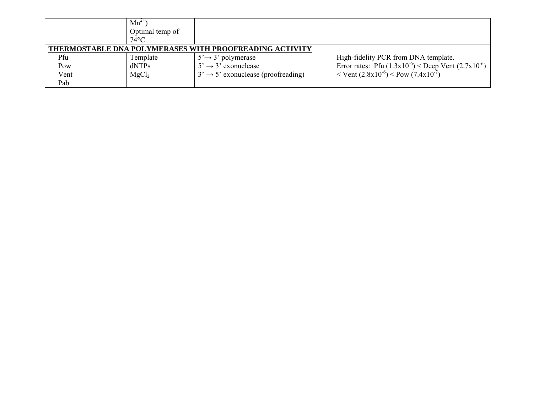|      | $Mn^{2+}$<br>Optimal temp of |                                                         |                                                                            |
|------|------------------------------|---------------------------------------------------------|----------------------------------------------------------------------------|
|      | $74^{\circ}$ C               |                                                         |                                                                            |
|      |                              | THERMOSTABLE DNA POLYMERASES WITH PROOFREADING ACTIVITY |                                                                            |
| Pfu  | Template                     | $5' \rightarrow 3'$ polymerase                          | High-fidelity PCR from DNA template.                                       |
| Pow  | dNTPs                        | $5' \rightarrow 3'$ exonuclease                         | Error rates: Pfu $(1.3x10^{-6})$ < Deep Vent $(2.7x10^{-6})$               |
| Vent | MgCl <sub>2</sub>            | $3' \rightarrow 5'$ exonuclease (proofreading)          | $\rm{V}$ Vent (2.8x10 <sup>-6</sup> ) $\rm{V}$ Pow (7.4x10 <sup>-7</sup> ) |
| Pab  |                              |                                                         |                                                                            |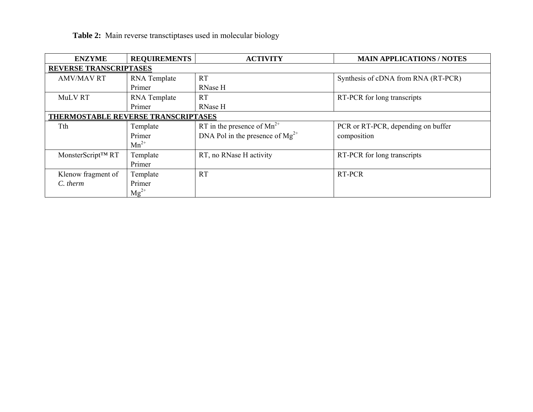|  | Table 2: Main reverse transctiptases used in molecular biology |  |  |
|--|----------------------------------------------------------------|--|--|
|  |                                                                |  |  |

| <b>ENZYME</b>                       | <b>REQUIREMENTS</b> | <b>ACTIVITY</b>                      | <b>MAIN APPLICATIONS / NOTES</b>    |
|-------------------------------------|---------------------|--------------------------------------|-------------------------------------|
| <b>REVERSE TRANSCRIPTASES</b>       |                     |                                      |                                     |
| <b>AMV/MAV RT</b>                   | RNA Template        | <b>RT</b>                            | Synthesis of cDNA from RNA (RT-PCR) |
|                                     | Primer              | RNase H                              |                                     |
| MuLV RT                             | RNA Template        | <b>RT</b>                            | RT-PCR for long transcripts         |
|                                     | Primer              | <b>RNase H</b>                       |                                     |
| THERMOSTABLE REVERSE TRANSCRIPTASES |                     |                                      |                                     |
| Tth                                 | Template            | RT in the presence of $Mn^{2+}$      | PCR or RT-PCR, depending on buffer  |
|                                     | Primer              | DNA Pol in the presence of $Mg^{2+}$ | composition                         |
|                                     | $Mn^{2+}$           |                                      |                                     |
| MonsterScript <sup>™</sup> RT       | Template            | RT, no RNase H activity              | RT-PCR for long transcripts         |
|                                     | Primer              |                                      |                                     |
| Klenow fragment of                  | Template            | <b>RT</b>                            | RT-PCR                              |
| C. therm                            | Primer              |                                      |                                     |
|                                     | $Mg^{2+}$           |                                      |                                     |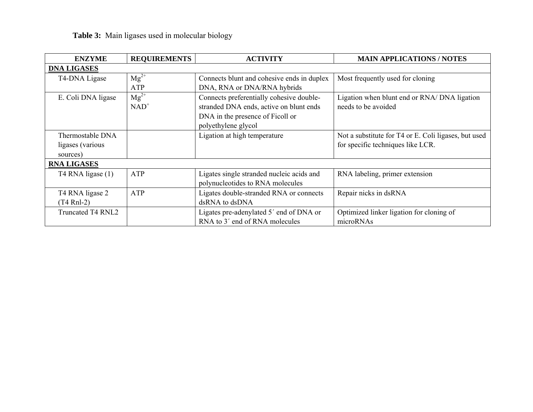| Table 3: Main ligases used in molecular biology |  |  |  |  |  |  |  |  |
|-------------------------------------------------|--|--|--|--|--|--|--|--|
|-------------------------------------------------|--|--|--|--|--|--|--|--|

| <b>ENZYME</b>      | <b>REQUIREMENTS</b> | <b>ACTIVITY</b>                            | <b>MAIN APPLICATIONS / NOTES</b>                     |
|--------------------|---------------------|--------------------------------------------|------------------------------------------------------|
| <b>DNA LIGASES</b> |                     |                                            |                                                      |
| T4-DNA Ligase      | $Mg^{2+}$           | Connects blunt and cohesive ends in duplex | Most frequently used for cloning                     |
|                    | ATP                 | DNA, RNA or DNA/RNA hybrids                |                                                      |
| E. Coli DNA ligase | $Mg^{2+}$           | Connects preferentially cohesive double-   | Ligation when blunt end or RNA/ DNA ligation         |
|                    | $NAD^+$             | stranded DNA ends, active on blunt ends    | needs to be avoided                                  |
|                    |                     | DNA in the presence of Ficoll or           |                                                      |
|                    |                     | polyethylene glycol                        |                                                      |
| Thermostable DNA   |                     | Ligation at high temperature               | Not a substitute for T4 or E. Coli ligases, but used |
| ligases (various   |                     |                                            | for specific techniques like LCR.                    |
| sources)           |                     |                                            |                                                      |
| <b>RNA LIGASES</b> |                     |                                            |                                                      |
| T4 RNA ligase (1)  | ATP                 | Ligates single stranded nucleic acids and  | RNA labeling, primer extension                       |
|                    |                     | polynucleotides to RNA molecules           |                                                      |
| T4 RNA ligase 2    | ATP                 | Ligates double-stranded RNA or connects    | Repair nicks in dsRNA                                |
| $(T4$ Rnl-2)       |                     | dsRNA to dsDNA                             |                                                      |
| Truncated T4 RNL2  |                     | Ligates pre-adenylated 5' end of DNA or    | Optimized linker ligation for cloning of             |
|                    |                     | RNA to 3' end of RNA molecules             | microRNAs                                            |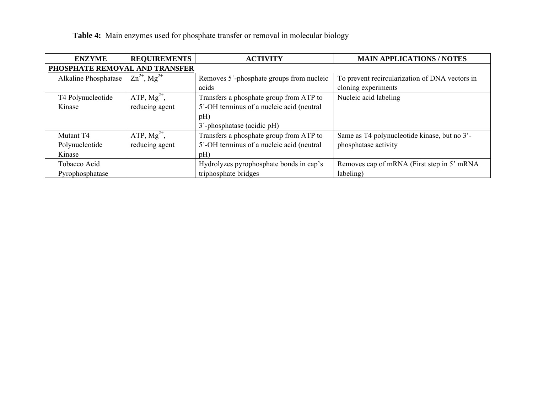| <b>ENZYME</b>                  | <b>REQUIREMENTS</b>          | <b>ACTIVITY</b>                           | <b>MAIN APPLICATIONS / NOTES</b>               |
|--------------------------------|------------------------------|-------------------------------------------|------------------------------------------------|
| PHOSPHATE REMOVAL AND TRANSFER |                              |                                           |                                                |
| Alkaline Phosphatase           | $Zn^{2+}$ , Mg <sup>2+</sup> | Removes 5'-phosphate groups from nucleic  | To prevent recircularization of DNA vectors in |
|                                |                              | acids                                     | cloning experiments                            |
| T4 Polynucleotide              | ATP, $Mg^{2+}$ ,             | Transfers a phosphate group from ATP to   | Nucleic acid labeling                          |
| Kinase                         | reducing agent               | 5'-OH terminus of a nucleic acid (neutral |                                                |
|                                |                              | pH)                                       |                                                |
|                                |                              | 3'-phosphatase (acidic pH)                |                                                |
| Mutant T4                      | ATP, $Mg^{2+}$ ,             | Transfers a phosphate group from ATP to   | Same as T4 polynucleotide kinase, but no 3'-   |
| Polynucleotide                 | reducing agent               | 5'-OH terminus of a nucleic acid (neutral | phosphatase activity                           |
| Kinase                         |                              | pH)                                       |                                                |
| Tobacco Acid                   |                              | Hydrolyzes pyrophosphate bonds in cap's   | Removes cap of mRNA (First step in 5' mRNA)    |
| Pyrophosphatase                |                              | triphosphate bridges                      | labeling)                                      |

# **Table 4:** Main enzymes used for phosphate transfer or removal in molecular biology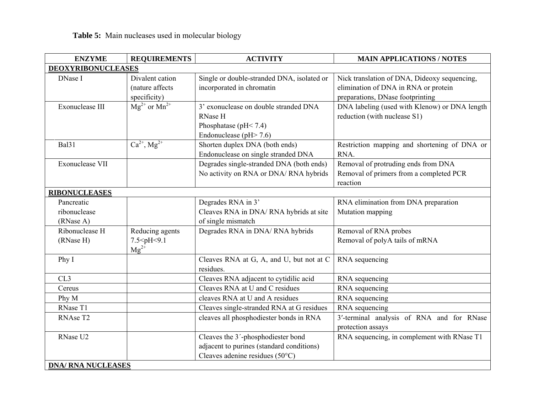| <b>ENZYME</b>                           | <b>REQUIREMENTS</b>                                                | <b>ACTIVITY</b>                                                                                                             | <b>MAIN APPLICATIONS / NOTES</b>                                                                                         |  |  |
|-----------------------------------------|--------------------------------------------------------------------|-----------------------------------------------------------------------------------------------------------------------------|--------------------------------------------------------------------------------------------------------------------------|--|--|
| <b>DEOXYRIBONUCLEASES</b>               |                                                                    |                                                                                                                             |                                                                                                                          |  |  |
| DNase I                                 | Divalent cation<br>(nature affects<br>specificity)                 | Single or double-stranded DNA, isolated or<br>incorporated in chromatin                                                     | Nick translation of DNA, Dideoxy sequencing,<br>elimination of DNA in RNA or protein<br>preparations, DNase footprinting |  |  |
| Exonuclease III                         | $Mg^{2+}$ or $Mn^{2+}$                                             | 3' exonuclease on double stranded DNA<br>RNase H<br>Phosphatase ( $pH < 7.4$ )<br>Endonuclease ( $pH > 7.6$ )               | DNA labeling (used with Klenow) or DNA length<br>reduction (with nuclease S1)                                            |  |  |
| Bal31                                   | $\overline{\text{Ca}^{2+},\text{Mg}^{2+}}$                         | Shorten duplex DNA (both ends)<br>Endonuclease on single stranded DNA                                                       | Restriction mapping and shortening of DNA or<br>RNA.                                                                     |  |  |
| <b>Exonuclease VII</b>                  |                                                                    | Degrades single-stranded DNA (both ends)<br>No activity on RNA or DNA/ RNA hybrids                                          | Removal of protruding ends from DNA<br>Removal of primers from a completed PCR<br>reaction                               |  |  |
| <b>RIBONUCLEASES</b>                    |                                                                    |                                                                                                                             |                                                                                                                          |  |  |
| Pancreatic<br>ribonuclease<br>(RNase A) |                                                                    | Degrades RNA in 3'<br>Cleaves RNA in DNA/ RNA hybrids at site<br>of single mismatch                                         | RNA elimination from DNA preparation<br>Mutation mapping                                                                 |  |  |
| Ribonuclease H<br>(RNase H)             | Reducing agents<br>7.5 <ph<9.1<br><math>Mg^{2+}</math></ph<9.1<br> | Degrades RNA in DNA/ RNA hybrids                                                                                            | Removal of RNA probes<br>Removal of polyA tails of mRNA                                                                  |  |  |
| Phy I                                   |                                                                    | Cleaves RNA at G, A, and U, but not at C<br>residues.                                                                       | RNA sequencing                                                                                                           |  |  |
| CL3                                     |                                                                    | Cleaves RNA adjacent to cytidilic acid                                                                                      | RNA sequencing                                                                                                           |  |  |
| Cereus                                  |                                                                    | Cleaves RNA at U and C residues                                                                                             | RNA sequencing                                                                                                           |  |  |
| Phy M                                   |                                                                    | cleaves RNA at U and A residues                                                                                             | RNA sequencing                                                                                                           |  |  |
| RNase T1                                |                                                                    | Cleaves single-stranded RNA at G residues                                                                                   | RNA sequencing                                                                                                           |  |  |
| RNAse T2                                |                                                                    | cleaves all phosphodiester bonds in RNA                                                                                     | 3'-terminal analysis of RNA and for RNase<br>protection assays                                                           |  |  |
| RNase U2<br><b>DNA/ RNA NUCLEASES</b>   |                                                                    | Cleaves the 3'-phosphodiester bond<br>adjacent to purines (standard conditions)<br>Cleaves adenine residues $(50^{\circ}C)$ | RNA sequencing, in complement with RNase T1                                                                              |  |  |